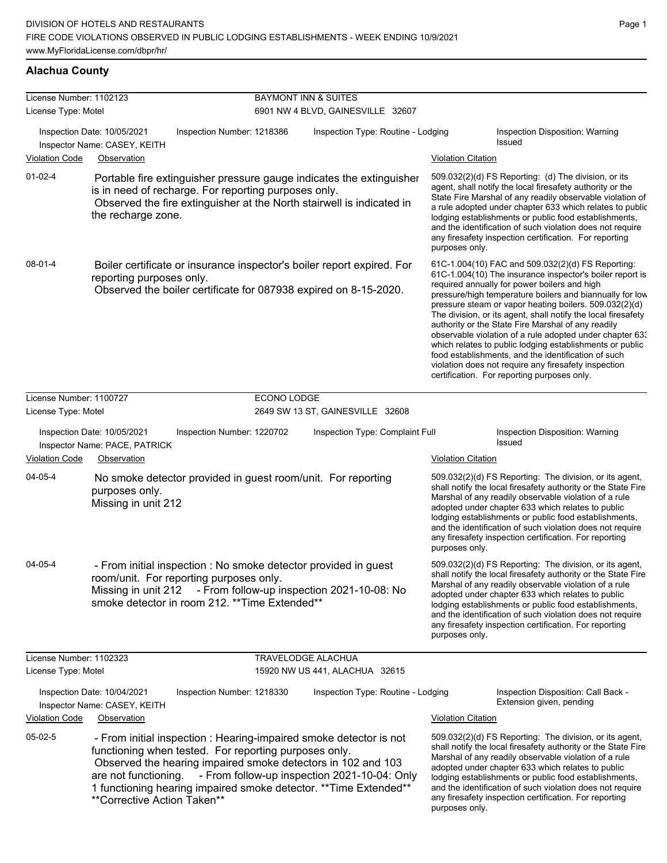# **Alachua County**

| License Number: 1102123 |                                                                                                                                                                                                                                                                                                                         |             | <b>BAYMONT INN &amp; SUITES</b>              |                           |                                                                                                                                                                                                                                                                                                                                                                                                                                                                                                                                                                                                                                                                                                  |
|-------------------------|-------------------------------------------------------------------------------------------------------------------------------------------------------------------------------------------------------------------------------------------------------------------------------------------------------------------------|-------------|----------------------------------------------|---------------------------|--------------------------------------------------------------------------------------------------------------------------------------------------------------------------------------------------------------------------------------------------------------------------------------------------------------------------------------------------------------------------------------------------------------------------------------------------------------------------------------------------------------------------------------------------------------------------------------------------------------------------------------------------------------------------------------------------|
| License Type: Motel     |                                                                                                                                                                                                                                                                                                                         |             | 6901 NW 4 BLVD, GAINESVILLE 32607            |                           |                                                                                                                                                                                                                                                                                                                                                                                                                                                                                                                                                                                                                                                                                                  |
|                         | Inspection Date: 10/05/2021<br>Inspection Number: 1218386<br>Inspector Name: CASEY, KEITH                                                                                                                                                                                                                               |             | Inspection Type: Routine - Lodging           |                           | Inspection Disposition: Warning<br>Issued                                                                                                                                                                                                                                                                                                                                                                                                                                                                                                                                                                                                                                                        |
| <b>Violation Code</b>   | Observation                                                                                                                                                                                                                                                                                                             |             |                                              | <b>Violation Citation</b> |                                                                                                                                                                                                                                                                                                                                                                                                                                                                                                                                                                                                                                                                                                  |
| $01-02-4$               | Portable fire extinguisher pressure gauge indicates the extinguisher<br>is in need of recharge. For reporting purposes only.<br>Observed the fire extinguisher at the North stairwell is indicated in<br>the recharge zone.                                                                                             |             |                                              | purposes only.            | 509.032(2)(d) FS Reporting: (d) The division, or its<br>agent, shall notify the local firesafety authority or the<br>State Fire Marshal of any readily observable violation of<br>a rule adopted under chapter 633 which relates to public<br>lodging establishments or public food establishments,<br>and the identification of such violation does not require<br>any firesafety inspection certification. For reporting                                                                                                                                                                                                                                                                       |
| 08-01-4                 | Boiler certificate or insurance inspector's boiler report expired. For<br>reporting purposes only.<br>Observed the boiler certificate for 087938 expired on 8-15-2020.                                                                                                                                                  |             |                                              |                           | 61C-1.004(10) FAC and 509.032(2)(d) FS Reporting:<br>61C-1.004(10) The insurance inspector's boiler report is<br>required annually for power boilers and high<br>pressure/high temperature boilers and biannually for low<br>pressure steam or vapor heating boilers. 509.032(2)(d)<br>The division, or its agent, shall notify the local firesafety<br>authority or the State Fire Marshal of any readily<br>observable violation of a rule adopted under chapter 63.<br>which relates to public lodging establishments or public<br>food establishments, and the identification of such<br>violation does not require any firesafety inspection<br>certification. For reporting purposes only. |
| License Number: 1100727 |                                                                                                                                                                                                                                                                                                                         | ECONO LODGE |                                              |                           |                                                                                                                                                                                                                                                                                                                                                                                                                                                                                                                                                                                                                                                                                                  |
| License Type: Motel     |                                                                                                                                                                                                                                                                                                                         |             | 2649 SW 13 ST, GAINESVILLE 32608             |                           |                                                                                                                                                                                                                                                                                                                                                                                                                                                                                                                                                                                                                                                                                                  |
|                         | Inspection Date: 10/05/2021<br>Inspection Number: 1220702<br>Inspector Name: PACE, PATRICK                                                                                                                                                                                                                              |             | Inspection Type: Complaint Full              |                           | Inspection Disposition: Warning<br>Issued                                                                                                                                                                                                                                                                                                                                                                                                                                                                                                                                                                                                                                                        |
| <b>Violation Code</b>   | Observation                                                                                                                                                                                                                                                                                                             |             |                                              | <b>Violation Citation</b> |                                                                                                                                                                                                                                                                                                                                                                                                                                                                                                                                                                                                                                                                                                  |
| 04-05-4                 | No smoke detector provided in guest room/unit. For reporting<br>purposes only.<br>Missing in unit 212                                                                                                                                                                                                                   |             |                                              | purposes only.            | 509.032(2)(d) FS Reporting: The division, or its agent,<br>shall notify the local firesafety authority or the State Fire<br>Marshal of any readily observable violation of a rule<br>adopted under chapter 633 which relates to public<br>lodging establishments or public food establishments,<br>and the identification of such violation does not require<br>any firesafety inspection certification. For reporting                                                                                                                                                                                                                                                                           |
| 04-05-4                 | - From initial inspection : No smoke detector provided in guest<br>room/unit. For reporting purposes only.<br>Missing in unit 212<br>smoke detector in room 212. ** Time Extended**                                                                                                                                     |             | - From follow-up inspection 2021-10-08: No   | purposes only.            | 509.032(2)(d) FS Reporting: The division, or its agent,<br>shall notify the local firesafety authority or the State Fire<br>Marshal of any readily observable violation of a rule<br>adopted under chapter 633 which relates to public<br>lodging establishments or public food establishments,<br>and the identification of such violation does not require<br>any firesafety inspection certification. For reporting                                                                                                                                                                                                                                                                           |
| License Number: 1102323 |                                                                                                                                                                                                                                                                                                                         |             | TRAVELODGE ALACHUA                           |                           |                                                                                                                                                                                                                                                                                                                                                                                                                                                                                                                                                                                                                                                                                                  |
| License Type: Motel     |                                                                                                                                                                                                                                                                                                                         |             | 15920 NW US 441, ALACHUA 32615               |                           |                                                                                                                                                                                                                                                                                                                                                                                                                                                                                                                                                                                                                                                                                                  |
|                         | Inspection Date: 10/04/2021<br>Inspection Number: 1218330<br>Inspector Name: CASEY, KEITH                                                                                                                                                                                                                               |             | Inspection Type: Routine - Lodging           |                           | Inspection Disposition: Call Back -<br>Extension given, pending                                                                                                                                                                                                                                                                                                                                                                                                                                                                                                                                                                                                                                  |
| Violation Code          | Observation                                                                                                                                                                                                                                                                                                             |             |                                              | <b>Violation Citation</b> |                                                                                                                                                                                                                                                                                                                                                                                                                                                                                                                                                                                                                                                                                                  |
| 05-02-5                 | - From initial inspection : Hearing-impaired smoke detector is not<br>functioning when tested. For reporting purposes only.<br>Observed the hearing impaired smoke detectors in 102 and 103<br>are not functioning.<br>1 functioning hearing impaired smoke detector. ** Time Extended**<br>**Corrective Action Taken** |             | - From follow-up inspection 2021-10-04: Only | purposes only.            | 509.032(2)(d) FS Reporting: The division, or its agent,<br>shall notify the local firesafety authority or the State Fire<br>Marshal of any readily observable violation of a rule<br>adopted under chapter 633 which relates to public<br>lodging establishments or public food establishments,<br>and the identification of such violation does not require<br>any firesafety inspection certification. For reporting                                                                                                                                                                                                                                                                           |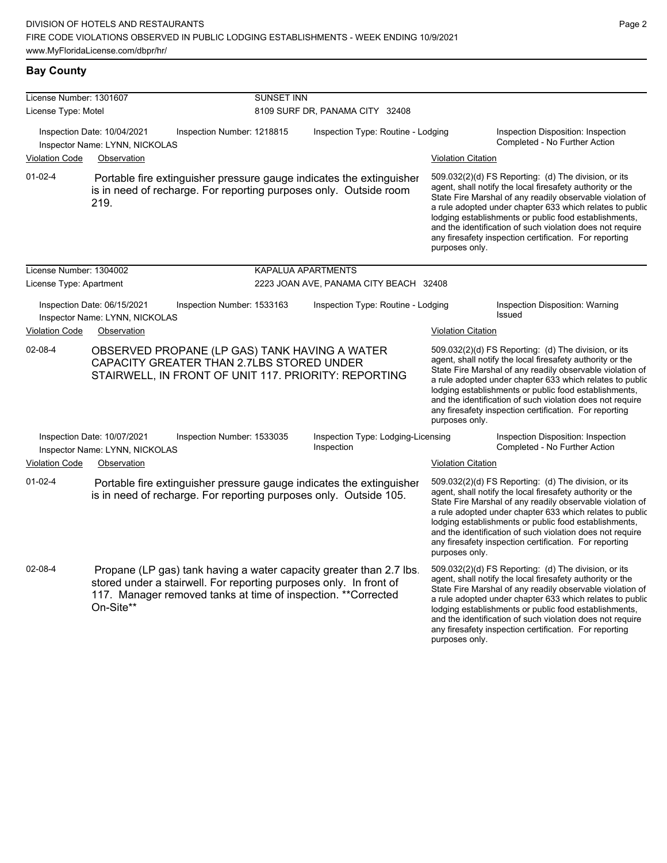# **Bay County**

| License Number: 1301607 |                                                                                                                                                                                                                         | <b>SUNSET INN</b>          |                                                  |                           |                                                                                                                                                                                                                                                                                                                                                                                                                            |  |
|-------------------------|-------------------------------------------------------------------------------------------------------------------------------------------------------------------------------------------------------------------------|----------------------------|--------------------------------------------------|---------------------------|----------------------------------------------------------------------------------------------------------------------------------------------------------------------------------------------------------------------------------------------------------------------------------------------------------------------------------------------------------------------------------------------------------------------------|--|
| License Type: Motel     |                                                                                                                                                                                                                         |                            | 8109 SURF DR, PANAMA CITY 32408                  |                           |                                                                                                                                                                                                                                                                                                                                                                                                                            |  |
|                         | Inspection Date: 10/04/2021<br>Inspector Name: LYNN, NICKOLAS                                                                                                                                                           | Inspection Number: 1218815 | Inspection Type: Routine - Lodging               |                           | Inspection Disposition: Inspection<br>Completed - No Further Action                                                                                                                                                                                                                                                                                                                                                        |  |
| <b>Violation Code</b>   | Observation                                                                                                                                                                                                             |                            |                                                  | <b>Violation Citation</b> |                                                                                                                                                                                                                                                                                                                                                                                                                            |  |
| $01-02-4$               | Portable fire extinguisher pressure gauge indicates the extinguisher<br>is in need of recharge. For reporting purposes only. Outside room<br>219.                                                                       |                            |                                                  | purposes only.            | 509.032(2)(d) FS Reporting: (d) The division, or its<br>agent, shall notify the local firesafety authority or the<br>State Fire Marshal of any readily observable violation of<br>a rule adopted under chapter 633 which relates to public<br>lodging establishments or public food establishments,<br>and the identification of such violation does not require<br>any firesafety inspection certification. For reporting |  |
| License Number: 1304002 |                                                                                                                                                                                                                         |                            | KAPALUA APARTMENTS                               |                           |                                                                                                                                                                                                                                                                                                                                                                                                                            |  |
| License Type: Apartment |                                                                                                                                                                                                                         |                            | 2223 JOAN AVE, PANAMA CITY BEACH 32408           |                           |                                                                                                                                                                                                                                                                                                                                                                                                                            |  |
|                         | Inspection Date: 06/15/2021<br>Inspector Name: LYNN, NICKOLAS                                                                                                                                                           | Inspection Number: 1533163 | Inspection Type: Routine - Lodging               |                           | Inspection Disposition: Warning<br>Issued                                                                                                                                                                                                                                                                                                                                                                                  |  |
| <b>Violation Code</b>   | Observation                                                                                                                                                                                                             |                            |                                                  | <b>Violation Citation</b> |                                                                                                                                                                                                                                                                                                                                                                                                                            |  |
| 02-08-4                 | OBSERVED PROPANE (LP GAS) TANK HAVING A WATER<br>CAPACITY GREATER THAN 2.7LBS STORED UNDER<br>STAIRWELL, IN FRONT OF UNIT 117. PRIORITY: REPORTING                                                                      |                            |                                                  | purposes only.            | 509.032(2)(d) FS Reporting: (d) The division, or its<br>agent, shall notify the local firesafety authority or the<br>State Fire Marshal of any readily observable violation of<br>a rule adopted under chapter 633 which relates to public<br>lodging establishments or public food establishments,<br>and the identification of such violation does not require<br>any firesafety inspection certification. For reporting |  |
|                         | Inspection Date: 10/07/2021<br>Inspector Name: LYNN, NICKOLAS                                                                                                                                                           | Inspection Number: 1533035 | Inspection Type: Lodging-Licensing<br>Inspection |                           | Inspection Disposition: Inspection<br>Completed - No Further Action                                                                                                                                                                                                                                                                                                                                                        |  |
| <b>Violation Code</b>   | Observation                                                                                                                                                                                                             |                            |                                                  | <b>Violation Citation</b> |                                                                                                                                                                                                                                                                                                                                                                                                                            |  |
| $01 - 02 - 4$           | Portable fire extinguisher pressure gauge indicates the extinguisher<br>is in need of recharge. For reporting purposes only. Outside 105.                                                                               |                            |                                                  | purposes only.            | 509.032(2)(d) FS Reporting: (d) The division, or its<br>agent, shall notify the local firesafety authority or the<br>State Fire Marshal of any readily observable violation of<br>a rule adopted under chapter 633 which relates to public<br>lodging establishments or public food establishments,<br>and the identification of such violation does not require<br>any firesafety inspection certification. For reporting |  |
| 02-08-4                 | Propane (LP gas) tank having a water capacity greater than 2.7 lbs<br>stored under a stairwell. For reporting purposes only. In front of<br>117. Manager removed tanks at time of inspection. ** Corrected<br>On-Site** |                            |                                                  |                           | 509.032(2)(d) FS Reporting: (d) The division, or its<br>agent, shall notify the local firesafety authority or the<br>State Fire Marshal of any readily observable violation of<br>a rule adopted under chapter 633 which relates to public<br>lodging establishments or public food establishments,<br>and the identification of such violation does not require                                                           |  |

any firesafety inspection certification. For reporting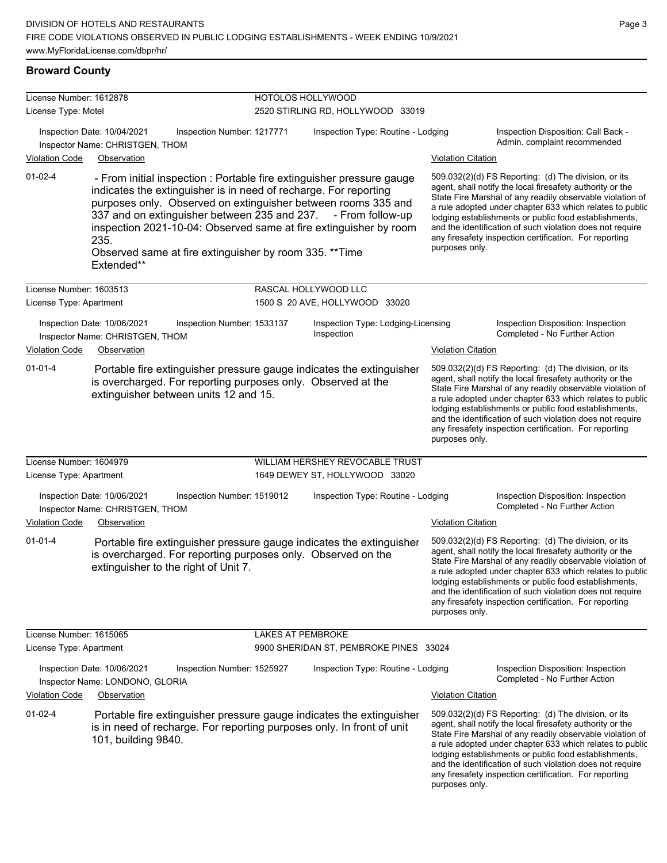| License Number: 1612878 |                                                                               |                                                                                                                                                                                                                                                                                                                                        | HOTOLOS HOLLYWOOD                                                    |                           |                                                                                                                                                                                                                                                                                                                                                                                                                            |  |
|-------------------------|-------------------------------------------------------------------------------|----------------------------------------------------------------------------------------------------------------------------------------------------------------------------------------------------------------------------------------------------------------------------------------------------------------------------------------|----------------------------------------------------------------------|---------------------------|----------------------------------------------------------------------------------------------------------------------------------------------------------------------------------------------------------------------------------------------------------------------------------------------------------------------------------------------------------------------------------------------------------------------------|--|
| License Type: Motel     |                                                                               |                                                                                                                                                                                                                                                                                                                                        | 2520 STIRLING RD, HOLLYWOOD 33019                                    |                           |                                                                                                                                                                                                                                                                                                                                                                                                                            |  |
|                         | Inspection Date: 10/04/2021<br>Inspector Name: CHRISTGEN, THOM                | Inspection Number: 1217771                                                                                                                                                                                                                                                                                                             | Inspection Type: Routine - Lodging                                   |                           | Inspection Disposition: Call Back -<br>Admin. complaint recommended                                                                                                                                                                                                                                                                                                                                                        |  |
| <b>Violation Code</b>   | Observation                                                                   |                                                                                                                                                                                                                                                                                                                                        |                                                                      | <b>Violation Citation</b> |                                                                                                                                                                                                                                                                                                                                                                                                                            |  |
| $01 - 02 - 4$           | 235.<br>Extended**                                                            | - From initial inspection : Portable fire extinguisher pressure gauge<br>indicates the extinguisher is in need of recharge. For reporting<br>purposes only. Observed on extinguisher between rooms 335 and<br>337 and on extinguisher between 235 and 237. - From follow-up<br>Observed same at fire extinguisher by room 335. ** Time | inspection 2021-10-04: Observed same at fire extinguisher by room    | purposes only.            | 509.032(2)(d) FS Reporting: (d) The division, or its<br>agent, shall notify the local firesafety authority or the<br>State Fire Marshal of any readily observable violation of<br>a rule adopted under chapter 633 which relates to public<br>lodging establishments or public food establishments,<br>and the identification of such violation does not require<br>any firesafety inspection certification. For reporting |  |
| License Number: 1603513 |                                                                               |                                                                                                                                                                                                                                                                                                                                        | RASCAL HOLLYWOOD LLC                                                 |                           |                                                                                                                                                                                                                                                                                                                                                                                                                            |  |
| License Type: Apartment |                                                                               |                                                                                                                                                                                                                                                                                                                                        | 1500 S 20 AVE, HOLLYWOOD 33020                                       |                           |                                                                                                                                                                                                                                                                                                                                                                                                                            |  |
| <b>Violation Code</b>   | Inspection Date: 10/06/2021<br>Inspector Name: CHRISTGEN, THOM<br>Observation | Inspection Number: 1533137                                                                                                                                                                                                                                                                                                             | Inspection Type: Lodging-Licensing<br>Inspection                     | <b>Violation Citation</b> | Inspection Disposition: Inspection<br>Completed - No Further Action                                                                                                                                                                                                                                                                                                                                                        |  |
| $01 - 01 - 4$           | extinguisher between units 12 and 15.                                         | is overcharged. For reporting purposes only. Observed at the                                                                                                                                                                                                                                                                           | Portable fire extinguisher pressure gauge indicates the extinguisher | purposes only.            | 509.032(2)(d) FS Reporting: (d) The division, or its<br>agent, shall notify the local firesafety authority or the<br>State Fire Marshal of any readily observable violation of<br>a rule adopted under chapter 633 which relates to public<br>lodging establishments or public food establishments,<br>and the identification of such violation does not require<br>any firesafety inspection certification. For reporting |  |
| License Number: 1604979 |                                                                               |                                                                                                                                                                                                                                                                                                                                        | WILLIAM HERSHEY REVOCABLE TRUST                                      |                           |                                                                                                                                                                                                                                                                                                                                                                                                                            |  |
| License Type: Apartment |                                                                               |                                                                                                                                                                                                                                                                                                                                        | 1649 DEWEY ST, HOLLYWOOD 33020                                       |                           |                                                                                                                                                                                                                                                                                                                                                                                                                            |  |
|                         | Inspection Date: 10/06/2021<br>Inspector Name: CHRISTGEN, THOM                | Inspection Number: 1519012                                                                                                                                                                                                                                                                                                             | Inspection Type: Routine - Lodging                                   |                           | Inspection Disposition: Inspection<br>Completed - No Further Action                                                                                                                                                                                                                                                                                                                                                        |  |
| <b>Violation Code</b>   | Observation                                                                   |                                                                                                                                                                                                                                                                                                                                        |                                                                      | <b>Violation Citation</b> |                                                                                                                                                                                                                                                                                                                                                                                                                            |  |
| $01 - 01 - 4$           | extinguisher to the right of Unit 7.                                          | is overcharged. For reporting purposes only. Observed on the                                                                                                                                                                                                                                                                           | Portable fire extinguisher pressure gauge indicates the extinguisher | purposes only.            | 509.032(2)(d) FS Reporting: (d) The division, or its<br>agent, shall notify the local firesafety authority or the<br>State Fire Marshal of any readily observable violation of<br>a rule adopted under chapter 633 which relates to public<br>lodging establishments or public food establishments,<br>and the identification of such violation does not require<br>any firesafety inspection certification. For reporting |  |
| License Number: 1615065 |                                                                               | LAKES AT PEMBROKE                                                                                                                                                                                                                                                                                                                      |                                                                      |                           |                                                                                                                                                                                                                                                                                                                                                                                                                            |  |
| License Type: Apartment |                                                                               |                                                                                                                                                                                                                                                                                                                                        | 9900 SHERIDAN ST, PEMBROKE PINES 33024                               |                           |                                                                                                                                                                                                                                                                                                                                                                                                                            |  |
|                         | Inspection Date: 10/06/2021<br>Inspector Name: LONDONO, GLORIA                | Inspection Number: 1525927                                                                                                                                                                                                                                                                                                             | Inspection Type: Routine - Lodging                                   |                           | Inspection Disposition: Inspection<br>Completed - No Further Action                                                                                                                                                                                                                                                                                                                                                        |  |
| <b>Violation Code</b>   | Observation                                                                   |                                                                                                                                                                                                                                                                                                                                        |                                                                      | <b>Violation Citation</b> |                                                                                                                                                                                                                                                                                                                                                                                                                            |  |
| 01-02-4                 | 101, building 9840.                                                           | is in need of recharge. For reporting purposes only. In front of unit                                                                                                                                                                                                                                                                  | Portable fire extinguisher pressure gauge indicates the extinguisher | purposes only.            | 509.032(2)(d) FS Reporting: (d) The division, or its<br>agent, shall notify the local firesafety authority or the<br>State Fire Marshal of any readily observable violation of<br>a rule adopted under chapter 633 which relates to public<br>lodging establishments or public food establishments,<br>and the identification of such violation does not require<br>any firesafety inspection certification. For reporting |  |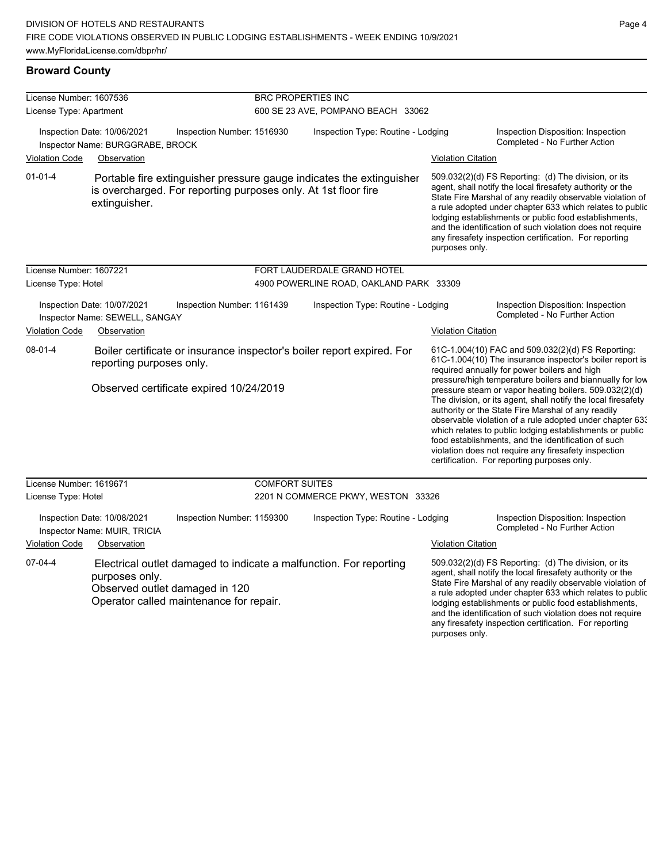#### **Broward County**

| License Number: 1607536 |                                                                            |                                                                | <b>BRC PROPERTIES INC</b>          |                                                                        |                           |                                                                                                                                                                                                                                                                                                                                                                                                                                                                                                                                                                                                                                                                                                  |  |  |
|-------------------------|----------------------------------------------------------------------------|----------------------------------------------------------------|------------------------------------|------------------------------------------------------------------------|---------------------------|--------------------------------------------------------------------------------------------------------------------------------------------------------------------------------------------------------------------------------------------------------------------------------------------------------------------------------------------------------------------------------------------------------------------------------------------------------------------------------------------------------------------------------------------------------------------------------------------------------------------------------------------------------------------------------------------------|--|--|
| License Type: Apartment |                                                                            |                                                                | 600 SE 23 AVE, POMPANO BEACH 33062 |                                                                        |                           |                                                                                                                                                                                                                                                                                                                                                                                                                                                                                                                                                                                                                                                                                                  |  |  |
|                         | Inspection Date: 10/06/2021<br>Inspector Name: BURGGRABE, BROCK            | Inspection Number: 1516930                                     |                                    | Inspection Type: Routine - Lodging                                     |                           | Inspection Disposition: Inspection<br>Completed - No Further Action                                                                                                                                                                                                                                                                                                                                                                                                                                                                                                                                                                                                                              |  |  |
| <b>Violation Code</b>   | Observation                                                                |                                                                |                                    |                                                                        | <b>Violation Citation</b> |                                                                                                                                                                                                                                                                                                                                                                                                                                                                                                                                                                                                                                                                                                  |  |  |
| $01 - 01 - 4$           | extinguisher.                                                              | is overcharged. For reporting purposes only. At 1st floor fire |                                    | Portable fire extinguisher pressure gauge indicates the extinguisher   | purposes only.            | 509.032(2)(d) FS Reporting: (d) The division, or its<br>agent, shall notify the local firesafety authority or the<br>State Fire Marshal of any readily observable violation of<br>a rule adopted under chapter 633 which relates to public<br>lodging establishments or public food establishments,<br>and the identification of such violation does not require<br>any firesafety inspection certification. For reporting                                                                                                                                                                                                                                                                       |  |  |
| License Number: 1607221 |                                                                            |                                                                |                                    | FORT LAUDERDALE GRAND HOTEL                                            |                           |                                                                                                                                                                                                                                                                                                                                                                                                                                                                                                                                                                                                                                                                                                  |  |  |
| License Type: Hotel     |                                                                            |                                                                |                                    | 4900 POWERLINE ROAD, OAKLAND PARK 33309                                |                           |                                                                                                                                                                                                                                                                                                                                                                                                                                                                                                                                                                                                                                                                                                  |  |  |
|                         | Inspection Date: 10/07/2021<br>Inspector Name: SEWELL, SANGAY              | Inspection Number: 1161439                                     |                                    | Inspection Type: Routine - Lodging                                     |                           | Inspection Disposition: Inspection<br>Completed - No Further Action                                                                                                                                                                                                                                                                                                                                                                                                                                                                                                                                                                                                                              |  |  |
| <b>Violation Code</b>   | Observation                                                                |                                                                |                                    |                                                                        | <b>Violation Citation</b> |                                                                                                                                                                                                                                                                                                                                                                                                                                                                                                                                                                                                                                                                                                  |  |  |
| 08-01-4                 | reporting purposes only.                                                   | Observed certificate expired 10/24/2019                        |                                    | Boiler certificate or insurance inspector's boiler report expired. For |                           | 61C-1.004(10) FAC and 509.032(2)(d) FS Reporting:<br>61C-1.004(10) The insurance inspector's boiler report is<br>required annually for power boilers and high<br>pressure/high temperature boilers and biannually for low<br>pressure steam or vapor heating boilers. 509.032(2)(d)<br>The division, or its agent, shall notify the local firesafety<br>authority or the State Fire Marshal of any readily<br>observable violation of a rule adopted under chapter 633<br>which relates to public lodging establishments or public<br>food establishments, and the identification of such<br>violation does not require any firesafety inspection<br>certification. For reporting purposes only. |  |  |
| License Number: 1619671 |                                                                            |                                                                | <b>COMFORT SUITES</b>              |                                                                        |                           |                                                                                                                                                                                                                                                                                                                                                                                                                                                                                                                                                                                                                                                                                                  |  |  |
| License Type: Hotel     |                                                                            |                                                                |                                    | 2201 N COMMERCE PKWY, WESTON 33326                                     |                           |                                                                                                                                                                                                                                                                                                                                                                                                                                                                                                                                                                                                                                                                                                  |  |  |
| <b>Violation Code</b>   | Inspection Date: 10/08/2021<br>Inspector Name: MUIR, TRICIA<br>Observation | Inspection Number: 1159300                                     |                                    | Inspection Type: Routine - Lodging                                     | <b>Violation Citation</b> | Inspection Disposition: Inspection<br>Completed - No Further Action                                                                                                                                                                                                                                                                                                                                                                                                                                                                                                                                                                                                                              |  |  |
| 07-04-4                 | purposes only.<br>Observed outlet damaged in 120                           | Operator called maintenance for repair.                        |                                    | Electrical outlet damaged to indicate a malfunction. For reporting     |                           | 509.032(2)(d) FS Reporting: (d) The division, or its<br>agent, shall notify the local firesafety authority or the<br>State Fire Marshal of any readily observable violation of<br>a rule adopted under chapter 633 which relates to public<br>lodging establishments or public food establishments,<br>and the identification of such violation does not require<br>any firesafety inspection certification. For reporting                                                                                                                                                                                                                                                                       |  |  |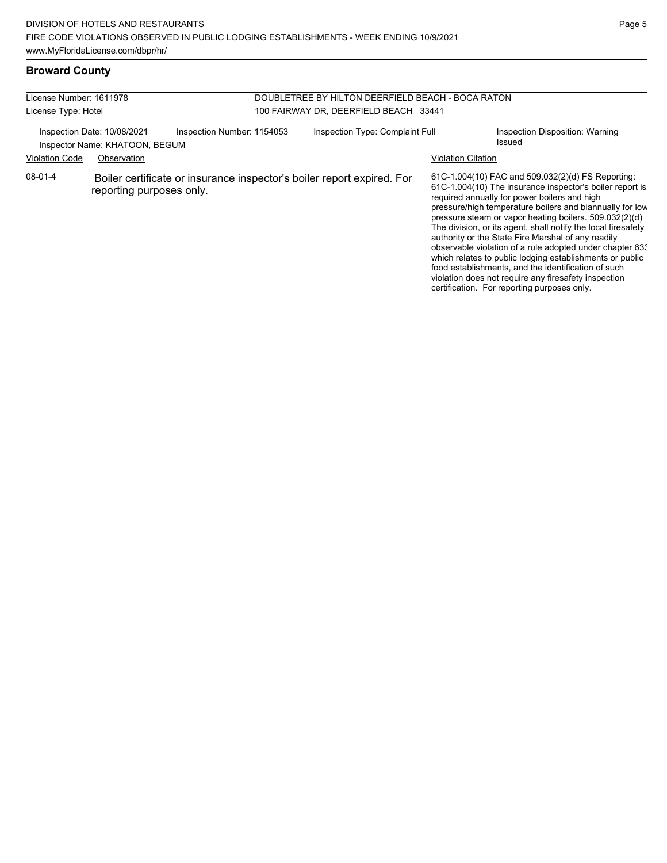# **Broward County**

| License Number: 1611978                                       |                          |                                                                        | DOUBLETREE BY HILTON DEERFIELD BEACH - BOCA RATON                            |                                                                                                                                                                                                                                                                                                                                                                                                                                                                                                                                                                                                                                                                                                  |  |  |
|---------------------------------------------------------------|--------------------------|------------------------------------------------------------------------|------------------------------------------------------------------------------|--------------------------------------------------------------------------------------------------------------------------------------------------------------------------------------------------------------------------------------------------------------------------------------------------------------------------------------------------------------------------------------------------------------------------------------------------------------------------------------------------------------------------------------------------------------------------------------------------------------------------------------------------------------------------------------------------|--|--|
| License Type: Hotel                                           |                          |                                                                        | 100 FAIRWAY DR, DEERFIELD BEACH 33441                                        |                                                                                                                                                                                                                                                                                                                                                                                                                                                                                                                                                                                                                                                                                                  |  |  |
| Inspection Date: 10/08/2021<br>Inspector Name: KHATOON, BEGUM |                          | Inspection Number: 1154053                                             | Inspection Type: Complaint Full<br>Inspection Disposition: Warning<br>Issued |                                                                                                                                                                                                                                                                                                                                                                                                                                                                                                                                                                                                                                                                                                  |  |  |
| <b>Violation Code</b>                                         | Observation              |                                                                        |                                                                              | <b>Violation Citation</b>                                                                                                                                                                                                                                                                                                                                                                                                                                                                                                                                                                                                                                                                        |  |  |
| 08-01-4                                                       | reporting purposes only. | Boiler certificate or insurance inspector's boiler report expired. For |                                                                              | 61C-1.004(10) FAC and 509.032(2)(d) FS Reporting:<br>61C-1.004(10) The insurance inspector's boiler report is<br>required annually for power boilers and high<br>pressure/high temperature boilers and biannually for low<br>pressure steam or vapor heating boilers. 509.032(2)(d)<br>The division, or its agent, shall notify the local firesafety<br>authority or the State Fire Marshal of any readily<br>observable violation of a rule adopted under chapter 633<br>which relates to public lodging establishments or public<br>food establishments, and the identification of such<br>violation does not require any firesafety inspection<br>certification. For reporting purposes only. |  |  |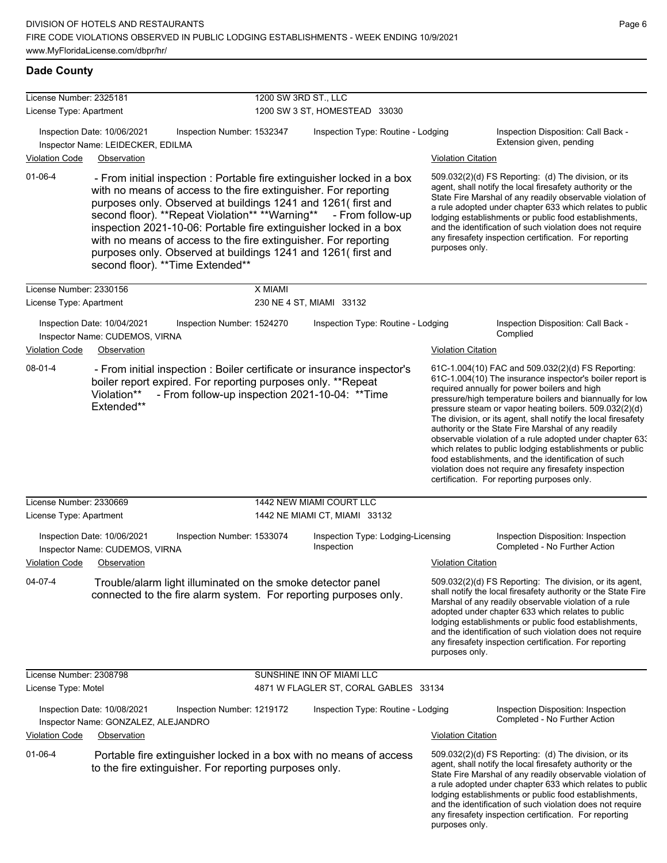# **Dade County**

| License Number: 2325181                            |                                                                                           |                            | 1200 SW 3RD ST., LLC          |                                                                                                                                                                                                                                                                                                                                                                                                                                                                                       |                           |                                                                                                                                                                                                                                                                                                                                                                                                                                                                                                                                                                                                                                                                                                  |  |  |
|----------------------------------------------------|-------------------------------------------------------------------------------------------|----------------------------|-------------------------------|---------------------------------------------------------------------------------------------------------------------------------------------------------------------------------------------------------------------------------------------------------------------------------------------------------------------------------------------------------------------------------------------------------------------------------------------------------------------------------------|---------------------------|--------------------------------------------------------------------------------------------------------------------------------------------------------------------------------------------------------------------------------------------------------------------------------------------------------------------------------------------------------------------------------------------------------------------------------------------------------------------------------------------------------------------------------------------------------------------------------------------------------------------------------------------------------------------------------------------------|--|--|
| License Type: Apartment                            |                                                                                           |                            | 1200 SW 3 ST, HOMESTEAD 33030 |                                                                                                                                                                                                                                                                                                                                                                                                                                                                                       |                           |                                                                                                                                                                                                                                                                                                                                                                                                                                                                                                                                                                                                                                                                                                  |  |  |
|                                                    | Inspection Date: 10/06/2021<br>Inspector Name: LEIDECKER, EDILMA                          | Inspection Number: 1532347 |                               | Inspection Type: Routine - Lodging                                                                                                                                                                                                                                                                                                                                                                                                                                                    |                           | Inspection Disposition: Call Back -<br>Extension given, pending                                                                                                                                                                                                                                                                                                                                                                                                                                                                                                                                                                                                                                  |  |  |
| <b>Violation Code</b>                              | Observation                                                                               |                            |                               |                                                                                                                                                                                                                                                                                                                                                                                                                                                                                       | <b>Violation Citation</b> |                                                                                                                                                                                                                                                                                                                                                                                                                                                                                                                                                                                                                                                                                                  |  |  |
| $01 - 06 - 4$                                      | second floor). ** Time Extended**                                                         |                            |                               | - From initial inspection : Portable fire extinguisher locked in a box<br>with no means of access to the fire extinguisher. For reporting<br>purposes only. Observed at buildings 1241 and 1261(first and<br>second floor). **Repeat Violation** **Warning** - From follow-up<br>inspection 2021-10-06: Portable fire extinguisher locked in a box<br>with no means of access to the fire extinguisher. For reporting<br>purposes only. Observed at buildings 1241 and 1261(first and | purposes only.            | 509.032(2)(d) FS Reporting: (d) The division, or its<br>agent, shall notify the local firesafety authority or the<br>State Fire Marshal of any readily observable violation of<br>a rule adopted under chapter 633 which relates to public<br>lodging establishments or public food establishments,<br>and the identification of such violation does not require<br>any firesafety inspection certification. For reporting                                                                                                                                                                                                                                                                       |  |  |
| License Number: 2330156                            |                                                                                           |                            | X MIAMI                       |                                                                                                                                                                                                                                                                                                                                                                                                                                                                                       |                           |                                                                                                                                                                                                                                                                                                                                                                                                                                                                                                                                                                                                                                                                                                  |  |  |
| License Type: Apartment                            |                                                                                           |                            |                               | 230 NE 4 ST, MIAMI 33132                                                                                                                                                                                                                                                                                                                                                                                                                                                              |                           |                                                                                                                                                                                                                                                                                                                                                                                                                                                                                                                                                                                                                                                                                                  |  |  |
| <b>Violation Code</b>                              | Inspection Date: 10/04/2021<br>Inspector Name: CUDEMOS, VIRNA<br>Observation              | Inspection Number: 1524270 |                               | Inspection Type: Routine - Lodging                                                                                                                                                                                                                                                                                                                                                                                                                                                    | <b>Violation Citation</b> | Inspection Disposition: Call Back -<br>Complied                                                                                                                                                                                                                                                                                                                                                                                                                                                                                                                                                                                                                                                  |  |  |
| $08 - 01 - 4$                                      | boiler report expired. For reporting purposes only. **Repeat<br>Violation**<br>Extended** |                            |                               | - From initial inspection : Boiler certificate or insurance inspector's<br>- From follow-up inspection 2021-10-04: **Time                                                                                                                                                                                                                                                                                                                                                             |                           | 61C-1.004(10) FAC and 509.032(2)(d) FS Reporting:<br>61C-1.004(10) The insurance inspector's boiler report is<br>required annually for power boilers and high<br>pressure/high temperature boilers and biannually for low<br>pressure steam or vapor heating boilers. 509.032(2)(d)<br>The division, or its agent, shall notify the local firesafety<br>authority or the State Fire Marshal of any readily<br>observable violation of a rule adopted under chapter 63.<br>which relates to public lodging establishments or public<br>food establishments, and the identification of such<br>violation does not require any firesafety inspection<br>certification. For reporting purposes only. |  |  |
| License Number: 2330669<br>License Type: Apartment |                                                                                           |                            |                               | 1442 NEW MIAMI COURT LLC<br>1442 NE MIAMI CT, MIAMI 33132                                                                                                                                                                                                                                                                                                                                                                                                                             |                           |                                                                                                                                                                                                                                                                                                                                                                                                                                                                                                                                                                                                                                                                                                  |  |  |
|                                                    | Inspection Date: 10/06/2021<br>Inspector Name: CUDEMOS, VIRNA                             | Inspection Number: 1533074 |                               | Inspection Type: Lodging-Licensing<br>Inspection                                                                                                                                                                                                                                                                                                                                                                                                                                      |                           | Inspection Disposition: Inspection<br>Completed - No Further Action                                                                                                                                                                                                                                                                                                                                                                                                                                                                                                                                                                                                                              |  |  |
| <b>Violation Code</b>                              | Observation                                                                               |                            |                               |                                                                                                                                                                                                                                                                                                                                                                                                                                                                                       | <b>Violation Citation</b> |                                                                                                                                                                                                                                                                                                                                                                                                                                                                                                                                                                                                                                                                                                  |  |  |
| 04-07-4                                            | Trouble/alarm light illuminated on the smoke detector panel                               |                            |                               | connected to the fire alarm system. For reporting purposes only.                                                                                                                                                                                                                                                                                                                                                                                                                      | purposes only.            | 509.032(2)(d) FS Reporting: The division, or its agent,<br>shall notify the local firesafety authority or the State Fire<br>Marshal of any readily observable violation of a rule<br>adopted under chapter 633 which relates to public<br>lodging establishments or public food establishments,<br>and the identification of such violation does not require<br>any firesafety inspection certification. For reporting                                                                                                                                                                                                                                                                           |  |  |
| License Number: 2308798                            |                                                                                           |                            |                               | SUNSHINE INN OF MIAMI LLC                                                                                                                                                                                                                                                                                                                                                                                                                                                             |                           |                                                                                                                                                                                                                                                                                                                                                                                                                                                                                                                                                                                                                                                                                                  |  |  |
| License Type: Motel                                |                                                                                           |                            |                               | 4871 W FLAGLER ST, CORAL GABLES 33134                                                                                                                                                                                                                                                                                                                                                                                                                                                 |                           |                                                                                                                                                                                                                                                                                                                                                                                                                                                                                                                                                                                                                                                                                                  |  |  |
|                                                    | Inspection Date: 10/08/2021<br>Inspector Name: GONZALEZ, ALEJANDRO                        | Inspection Number: 1219172 |                               | Inspection Type: Routine - Lodging                                                                                                                                                                                                                                                                                                                                                                                                                                                    |                           | Inspection Disposition: Inspection<br>Completed - No Further Action                                                                                                                                                                                                                                                                                                                                                                                                                                                                                                                                                                                                                              |  |  |
| <b>Violation Code</b>                              | Observation                                                                               |                            |                               |                                                                                                                                                                                                                                                                                                                                                                                                                                                                                       | <b>Violation Citation</b> |                                                                                                                                                                                                                                                                                                                                                                                                                                                                                                                                                                                                                                                                                                  |  |  |
| $01 - 06 - 4$                                      | to the fire extinguisher. For reporting purposes only.                                    |                            |                               | Portable fire extinguisher locked in a box with no means of access                                                                                                                                                                                                                                                                                                                                                                                                                    | purposes only.            | 509.032(2)(d) FS Reporting: (d) The division, or its<br>agent, shall notify the local firesafety authority or the<br>State Fire Marshal of any readily observable violation of<br>a rule adopted under chapter 633 which relates to public<br>lodging establishments or public food establishments,<br>and the identification of such violation does not require<br>any firesafety inspection certification. For reporting                                                                                                                                                                                                                                                                       |  |  |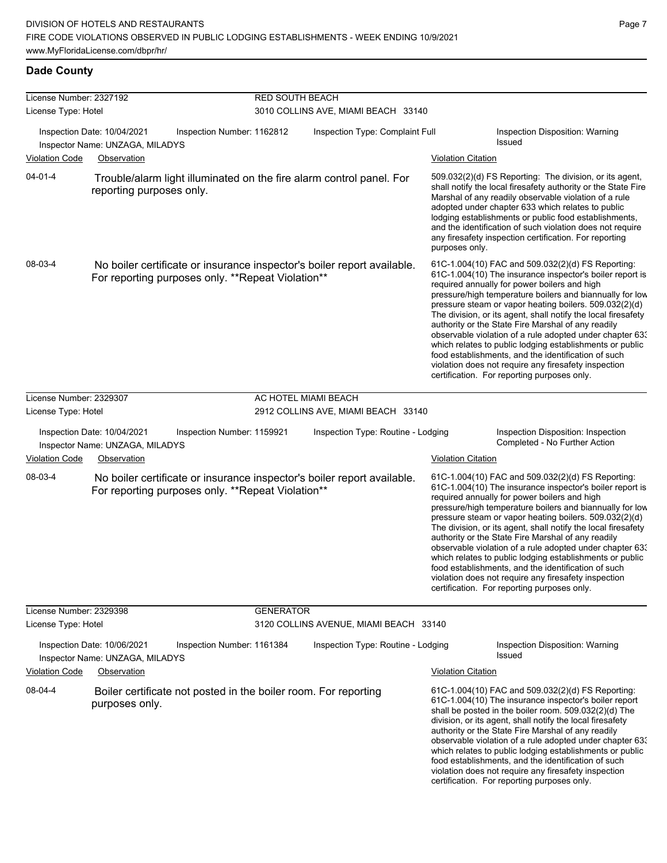# **Dade County**

| License Number: 2327192                                                 |                                                                                                                              | <b>RED SOUTH BEACH</b>     |                                        |                                                                                                                                                                                                                                                                                                                                                                                                                                                                                                                                                                                                                                                                                                  |                                                                                                                                                                                                                                                                                                                                                                                                                                                                                                                                                                                                                                                                                                  |  |
|-------------------------------------------------------------------------|------------------------------------------------------------------------------------------------------------------------------|----------------------------|----------------------------------------|--------------------------------------------------------------------------------------------------------------------------------------------------------------------------------------------------------------------------------------------------------------------------------------------------------------------------------------------------------------------------------------------------------------------------------------------------------------------------------------------------------------------------------------------------------------------------------------------------------------------------------------------------------------------------------------------------|--------------------------------------------------------------------------------------------------------------------------------------------------------------------------------------------------------------------------------------------------------------------------------------------------------------------------------------------------------------------------------------------------------------------------------------------------------------------------------------------------------------------------------------------------------------------------------------------------------------------------------------------------------------------------------------------------|--|
| License Type: Hotel                                                     |                                                                                                                              |                            | 3010 COLLINS AVE, MIAMI BEACH 33140    |                                                                                                                                                                                                                                                                                                                                                                                                                                                                                                                                                                                                                                                                                                  |                                                                                                                                                                                                                                                                                                                                                                                                                                                                                                                                                                                                                                                                                                  |  |
|                                                                         | Inspection Date: 10/04/2021                                                                                                  | Inspection Number: 1162812 | Inspection Type: Complaint Full        |                                                                                                                                                                                                                                                                                                                                                                                                                                                                                                                                                                                                                                                                                                  | Inspection Disposition: Warning<br>Issued                                                                                                                                                                                                                                                                                                                                                                                                                                                                                                                                                                                                                                                        |  |
| Inspector Name: UNZAGA, MILADYS<br><b>Violation Code</b><br>Observation |                                                                                                                              |                            |                                        | <b>Violation Citation</b>                                                                                                                                                                                                                                                                                                                                                                                                                                                                                                                                                                                                                                                                        |                                                                                                                                                                                                                                                                                                                                                                                                                                                                                                                                                                                                                                                                                                  |  |
| $04 - 01 - 4$                                                           | Trouble/alarm light illuminated on the fire alarm control panel. For<br>reporting purposes only.                             |                            |                                        | purposes only.                                                                                                                                                                                                                                                                                                                                                                                                                                                                                                                                                                                                                                                                                   | 509.032(2)(d) FS Reporting: The division, or its agent,<br>shall notify the local firesafety authority or the State Fire<br>Marshal of any readily observable violation of a rule<br>adopted under chapter 633 which relates to public<br>lodging establishments or public food establishments,<br>and the identification of such violation does not require<br>any firesafety inspection certification. For reporting                                                                                                                                                                                                                                                                           |  |
| 08-03-4                                                                 | No boiler certificate or insurance inspector's boiler report available.<br>For reporting purposes only. **Repeat Violation** |                            |                                        | 61C-1.004(10) FAC and 509.032(2)(d) FS Reporting:<br>61C-1.004(10) The insurance inspector's boiler report is<br>required annually for power boilers and high<br>pressure/high temperature boilers and biannually for low<br>pressure steam or vapor heating boilers. 509.032(2)(d)<br>The division, or its agent, shall notify the local firesafety<br>authority or the State Fire Marshal of any readily<br>observable violation of a rule adopted under chapter 63.<br>which relates to public lodging establishments or public<br>food establishments, and the identification of such<br>violation does not require any firesafety inspection<br>certification. For reporting purposes only. |                                                                                                                                                                                                                                                                                                                                                                                                                                                                                                                                                                                                                                                                                                  |  |
| License Number: 2329307                                                 |                                                                                                                              |                            | AC HOTEL MIAMI BEACH                   |                                                                                                                                                                                                                                                                                                                                                                                                                                                                                                                                                                                                                                                                                                  |                                                                                                                                                                                                                                                                                                                                                                                                                                                                                                                                                                                                                                                                                                  |  |
| License Type: Hotel                                                     |                                                                                                                              |                            | 2912 COLLINS AVE, MIAMI BEACH 33140    |                                                                                                                                                                                                                                                                                                                                                                                                                                                                                                                                                                                                                                                                                                  |                                                                                                                                                                                                                                                                                                                                                                                                                                                                                                                                                                                                                                                                                                  |  |
|                                                                         | Inspection Date: 10/04/2021<br>Inspector Name: UNZAGA, MILADYS                                                               | Inspection Number: 1159921 | Inspection Type: Routine - Lodging     |                                                                                                                                                                                                                                                                                                                                                                                                                                                                                                                                                                                                                                                                                                  | Inspection Disposition: Inspection<br>Completed - No Further Action                                                                                                                                                                                                                                                                                                                                                                                                                                                                                                                                                                                                                              |  |
| <b>Violation Code</b>                                                   | Observation                                                                                                                  |                            |                                        | <b>Violation Citation</b>                                                                                                                                                                                                                                                                                                                                                                                                                                                                                                                                                                                                                                                                        |                                                                                                                                                                                                                                                                                                                                                                                                                                                                                                                                                                                                                                                                                                  |  |
| 08-03-4                                                                 | No boiler certificate or insurance inspector's boiler report available.<br>For reporting purposes only. **Repeat Violation** |                            |                                        |                                                                                                                                                                                                                                                                                                                                                                                                                                                                                                                                                                                                                                                                                                  | 61C-1.004(10) FAC and 509.032(2)(d) FS Reporting:<br>61C-1.004(10) The insurance inspector's boiler report is<br>required annually for power boilers and high<br>pressure/high temperature boilers and biannually for low<br>pressure steam or vapor heating boilers. 509.032(2)(d)<br>The division, or its agent, shall notify the local firesafety<br>authority or the State Fire Marshal of any readily<br>observable violation of a rule adopted under chapter 63.<br>which relates to public lodging establishments or public<br>food establishments, and the identification of such<br>violation does not require any firesafety inspection<br>certification. For reporting purposes only. |  |
| License Number: 2329398                                                 |                                                                                                                              | <b>GENERATOR</b>           |                                        |                                                                                                                                                                                                                                                                                                                                                                                                                                                                                                                                                                                                                                                                                                  |                                                                                                                                                                                                                                                                                                                                                                                                                                                                                                                                                                                                                                                                                                  |  |
| License Type: Hotel                                                     |                                                                                                                              |                            | 3120 COLLINS AVENUE, MIAMI BEACH 33140 |                                                                                                                                                                                                                                                                                                                                                                                                                                                                                                                                                                                                                                                                                                  |                                                                                                                                                                                                                                                                                                                                                                                                                                                                                                                                                                                                                                                                                                  |  |
|                                                                         | Inspection Date: 10/06/2021<br>Inspector Name: UNZAGA, MILADYS                                                               | Inspection Number: 1161384 | Inspection Type: Routine - Lodging     |                                                                                                                                                                                                                                                                                                                                                                                                                                                                                                                                                                                                                                                                                                  | Inspection Disposition: Warning<br>Issued                                                                                                                                                                                                                                                                                                                                                                                                                                                                                                                                                                                                                                                        |  |
| <b>Violation Code</b>                                                   | Observation                                                                                                                  |                            |                                        | <b>Violation Citation</b>                                                                                                                                                                                                                                                                                                                                                                                                                                                                                                                                                                                                                                                                        |                                                                                                                                                                                                                                                                                                                                                                                                                                                                                                                                                                                                                                                                                                  |  |
| 08-04-4                                                                 | Boiler certificate not posted in the boiler room. For reporting<br>purposes only.                                            |                            |                                        |                                                                                                                                                                                                                                                                                                                                                                                                                                                                                                                                                                                                                                                                                                  | 61C-1.004(10) FAC and 509.032(2)(d) FS Reporting:<br>61C-1.004(10) The insurance inspector's boiler report<br>shall be posted in the boiler room. 509.032(2)(d) The<br>division, or its agent, shall notify the local firesafety<br>authority or the State Fire Marshal of any readily<br>observable violation of a rule adopted under chapter 633<br>which relates to public lodging establishments or public<br>food establishments, and the identification of such<br>violation does not require any firesafety inspection<br>certification. For reporting purposes only.                                                                                                                     |  |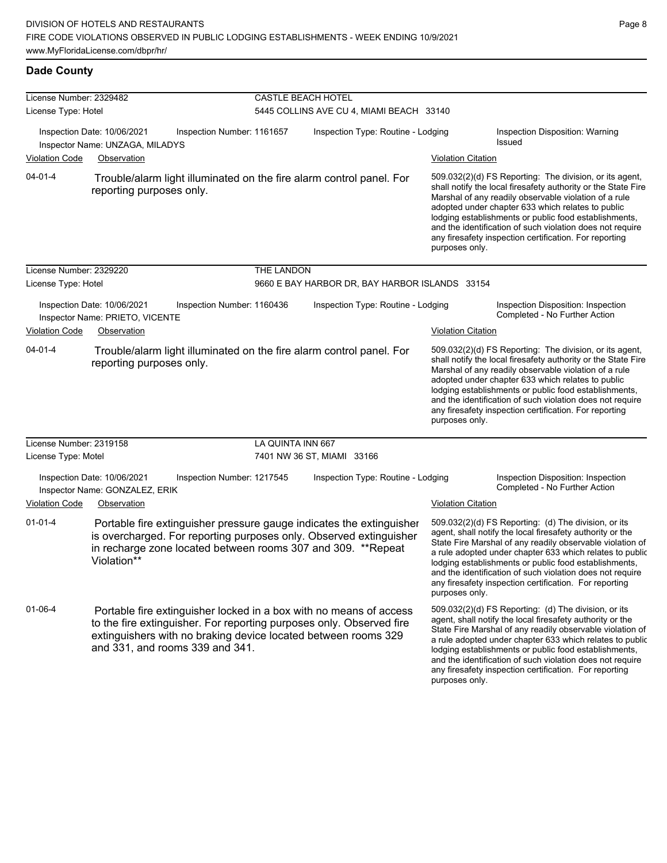#### **Dade County**

| License Number: 2329482                                                                      |                                                                                                                                                                                                                                                 |                            | <b>CASTLE BEACH HOTEL</b>                      |                           |                                                                                                                                                                                                                                                                                                                                                                                                                            |
|----------------------------------------------------------------------------------------------|-------------------------------------------------------------------------------------------------------------------------------------------------------------------------------------------------------------------------------------------------|----------------------------|------------------------------------------------|---------------------------|----------------------------------------------------------------------------------------------------------------------------------------------------------------------------------------------------------------------------------------------------------------------------------------------------------------------------------------------------------------------------------------------------------------------------|
| License Type: Hotel                                                                          |                                                                                                                                                                                                                                                 |                            | 5445 COLLINS AVE CU 4, MIAMI BEACH 33140       |                           |                                                                                                                                                                                                                                                                                                                                                                                                                            |
| Inspection Date: 10/06/2021<br>Inspection Number: 1161657<br>Inspector Name: UNZAGA, MILADYS |                                                                                                                                                                                                                                                 |                            | Inspection Type: Routine - Lodging             |                           | Inspection Disposition: Warning<br><b>Issued</b>                                                                                                                                                                                                                                                                                                                                                                           |
| <b>Violation Code</b>                                                                        | Observation                                                                                                                                                                                                                                     |                            |                                                | <b>Violation Citation</b> |                                                                                                                                                                                                                                                                                                                                                                                                                            |
| $04 - 01 - 4$                                                                                | Trouble/alarm light illuminated on the fire alarm control panel. For<br>reporting purposes only.                                                                                                                                                |                            |                                                | purposes only.            | 509.032(2)(d) FS Reporting: The division, or its agent,<br>shall notify the local firesafety authority or the State Fire<br>Marshal of any readily observable violation of a rule<br>adopted under chapter 633 which relates to public<br>lodging establishments or public food establishments,<br>and the identification of such violation does not require<br>any firesafety inspection certification. For reporting     |
| License Number: 2329220                                                                      |                                                                                                                                                                                                                                                 | THE LANDON                 |                                                |                           |                                                                                                                                                                                                                                                                                                                                                                                                                            |
| License Type: Hotel                                                                          |                                                                                                                                                                                                                                                 |                            | 9660 E BAY HARBOR DR, BAY HARBOR ISLANDS 33154 |                           |                                                                                                                                                                                                                                                                                                                                                                                                                            |
|                                                                                              | Inspection Date: 10/06/2021<br>Inspection Number: 1160436<br>Inspector Name: PRIETO, VICENTE                                                                                                                                                    |                            | Inspection Type: Routine - Lodging             |                           | Inspection Disposition: Inspection<br>Completed - No Further Action                                                                                                                                                                                                                                                                                                                                                        |
| <b>Violation Code</b>                                                                        | Observation                                                                                                                                                                                                                                     |                            |                                                | <b>Violation Citation</b> |                                                                                                                                                                                                                                                                                                                                                                                                                            |
| $04 - 01 - 4$                                                                                | Trouble/alarm light illuminated on the fire alarm control panel. For<br>reporting purposes only.                                                                                                                                                |                            |                                                | purposes only.            | 509.032(2)(d) FS Reporting: The division, or its agent,<br>shall notify the local firesafety authority or the State Fire<br>Marshal of any readily observable violation of a rule<br>adopted under chapter 633 which relates to public<br>lodging establishments or public food establishments,<br>and the identification of such violation does not require<br>any firesafety inspection certification. For reporting     |
| License Number: 2319158                                                                      |                                                                                                                                                                                                                                                 | LA QUINTA INN 667          |                                                |                           |                                                                                                                                                                                                                                                                                                                                                                                                                            |
| License Type: Motel                                                                          |                                                                                                                                                                                                                                                 |                            | 7401 NW 36 ST, MIAMI 33166                     |                           |                                                                                                                                                                                                                                                                                                                                                                                                                            |
|                                                                                              | Inspection Date: 10/06/2021<br>Inspector Name: GONZALEZ, ERIK                                                                                                                                                                                   | Inspection Number: 1217545 | Inspection Type: Routine - Lodging             |                           | Inspection Disposition: Inspection<br>Completed - No Further Action                                                                                                                                                                                                                                                                                                                                                        |
| <b>Violation Code</b>                                                                        | Observation                                                                                                                                                                                                                                     |                            |                                                | <b>Violation Citation</b> |                                                                                                                                                                                                                                                                                                                                                                                                                            |
| $01 - 01 - 4$                                                                                | Portable fire extinguisher pressure gauge indicates the extinguisher<br>is overcharged. For reporting purposes only. Observed extinguisher<br>in recharge zone located between rooms 307 and 309. **Repeat<br>Violation**                       |                            |                                                | purposes only.            | 509.032(2)(d) FS Reporting: (d) The division, or its<br>agent, shall notify the local firesafety authority or the<br>State Fire Marshal of any readily observable violation of<br>a rule adopted under chapter 633 which relates to public<br>lodging establishments or public food establishments,<br>and the identification of such violation does not require<br>any firesafety inspection certification. For reporting |
| 01-06-4                                                                                      | Portable fire extinguisher locked in a box with no means of access<br>to the fire extinguisher. For reporting purposes only. Observed fire<br>extinguishers with no braking device located between rooms 329<br>and 331, and rooms 339 and 341. |                            |                                                | purposes only.            | 509.032(2)(d) FS Reporting: (d) The division, or its<br>agent, shall notify the local firesafety authority or the<br>State Fire Marshal of any readily observable violation of<br>a rule adopted under chapter 633 which relates to public<br>lodging establishments or public food establishments,<br>and the identification of such violation does not require<br>any firesafety inspection certification. For reporting |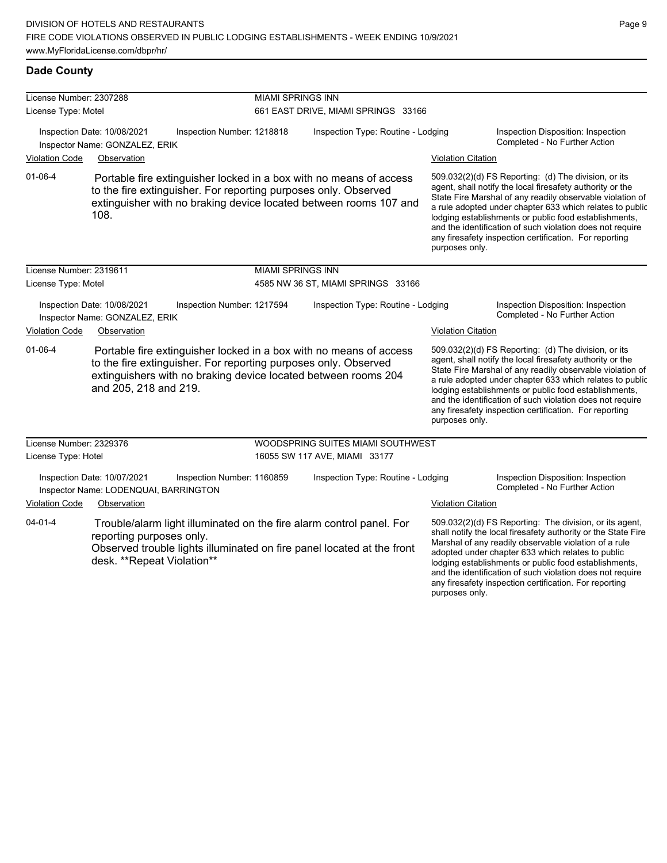| License Number: 2307288 |                                                                                                                                                                                                                                  |                          | <b>MIAMI SPRINGS INN</b>            |                           |                                                                                                                                                                                                                                                                                                                                                                                                                            |  |  |
|-------------------------|----------------------------------------------------------------------------------------------------------------------------------------------------------------------------------------------------------------------------------|--------------------------|-------------------------------------|---------------------------|----------------------------------------------------------------------------------------------------------------------------------------------------------------------------------------------------------------------------------------------------------------------------------------------------------------------------------------------------------------------------------------------------------------------------|--|--|
| License Type: Motel     |                                                                                                                                                                                                                                  |                          | 661 EAST DRIVE, MIAMI SPRINGS 33166 |                           |                                                                                                                                                                                                                                                                                                                                                                                                                            |  |  |
|                         | Inspection Date: 10/08/2021<br>Inspection Number: 1218818<br>Inspector Name: GONZALEZ, ERIK                                                                                                                                      |                          | Inspection Type: Routine - Lodging  |                           | Inspection Disposition: Inspection<br>Completed - No Further Action                                                                                                                                                                                                                                                                                                                                                        |  |  |
| <b>Violation Code</b>   | Observation                                                                                                                                                                                                                      |                          |                                     | <b>Violation Citation</b> |                                                                                                                                                                                                                                                                                                                                                                                                                            |  |  |
| $01 - 06 - 4$           | Portable fire extinguisher locked in a box with no means of access<br>to the fire extinguisher. For reporting purposes only. Observed<br>extinguisher with no braking device located between rooms 107 and<br>108.               |                          |                                     | purposes only.            | 509.032(2)(d) FS Reporting: (d) The division, or its<br>agent, shall notify the local firesafety authority or the<br>State Fire Marshal of any readily observable violation of<br>a rule adopted under chapter 633 which relates to public<br>lodging establishments or public food establishments,<br>and the identification of such violation does not require<br>any firesafety inspection certification. For reporting |  |  |
| License Number: 2319611 |                                                                                                                                                                                                                                  | <b>MIAMI SPRINGS INN</b> |                                     |                           |                                                                                                                                                                                                                                                                                                                                                                                                                            |  |  |
| License Type: Motel     |                                                                                                                                                                                                                                  |                          | 4585 NW 36 ST, MIAMI SPRINGS 33166  |                           |                                                                                                                                                                                                                                                                                                                                                                                                                            |  |  |
|                         | Inspection Date: 10/08/2021<br>Inspection Number: 1217594<br>Inspector Name: GONZALEZ, ERIK                                                                                                                                      |                          | Inspection Type: Routine - Lodging  |                           | Inspection Disposition: Inspection<br>Completed - No Further Action                                                                                                                                                                                                                                                                                                                                                        |  |  |
| <b>Violation Code</b>   | Observation                                                                                                                                                                                                                      |                          |                                     | <b>Violation Citation</b> |                                                                                                                                                                                                                                                                                                                                                                                                                            |  |  |
| $01 - 06 - 4$           | Portable fire extinguisher locked in a box with no means of access<br>to the fire extinguisher. For reporting purposes only. Observed<br>extinguishers with no braking device located between rooms 204<br>and 205, 218 and 219. |                          |                                     | purposes only.            | 509.032(2)(d) FS Reporting: (d) The division, or its<br>agent, shall notify the local firesafety authority or the<br>State Fire Marshal of any readily observable violation of<br>a rule adopted under chapter 633 which relates to public<br>lodging establishments or public food establishments,<br>and the identification of such violation does not require<br>any firesafety inspection certification. For reporting |  |  |
| License Number: 2329376 |                                                                                                                                                                                                                                  |                          | WOODSPRING SUITES MIAMI SOUTHWEST   |                           |                                                                                                                                                                                                                                                                                                                                                                                                                            |  |  |
| License Type: Hotel     |                                                                                                                                                                                                                                  |                          | 16055 SW 117 AVE, MIAMI 33177       |                           |                                                                                                                                                                                                                                                                                                                                                                                                                            |  |  |
|                         | Inspection Date: 10/07/2021<br>Inspection Number: 1160859<br>Inspector Name: LODENQUAI, BARRINGTON                                                                                                                               |                          | Inspection Type: Routine - Lodging  |                           | Inspection Disposition: Inspection<br>Completed - No Further Action                                                                                                                                                                                                                                                                                                                                                        |  |  |
| <b>Violation Code</b>   | Observation                                                                                                                                                                                                                      |                          |                                     | <b>Violation Citation</b> |                                                                                                                                                                                                                                                                                                                                                                                                                            |  |  |
| $04 - 01 - 4$           | Trouble/alarm light illuminated on the fire alarm control panel. For<br>reporting purposes only.<br>Observed trouble lights illuminated on fire panel located at the front<br>desk. **Repeat Violation**                         |                          |                                     |                           | 509.032(2)(d) FS Reporting: The division, or its agent,<br>shall notify the local firesafety authority or the State Fire<br>Marshal of any readily observable violation of a rule<br>adopted under chapter 633 which relates to public<br>lodging establishments or public food establishments,                                                                                                                            |  |  |

and the identification of such violation does not require any firesafety inspection certification. For reporting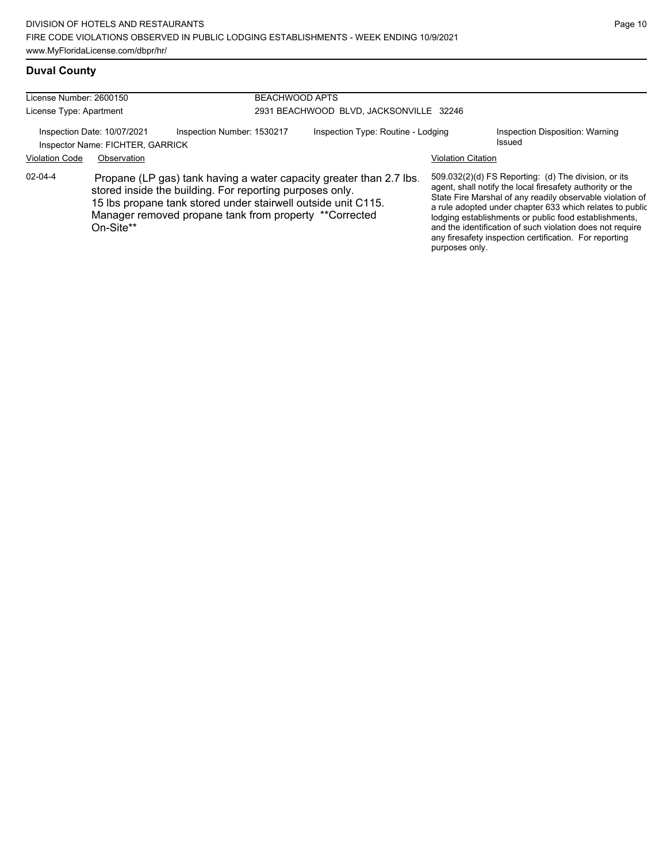# **Duval County**

| License Number: 2600150<br>License Type: Apartment              |             | <b>BEACHWOOD APTS</b>                                                                                                                                                                                                                                      | 2931 BEACHWOOD BLVD, JACKSONVILLE 32246 |                           |                                                                                                                                                                                                                                                                                                                                                                                                                            |
|-----------------------------------------------------------------|-------------|------------------------------------------------------------------------------------------------------------------------------------------------------------------------------------------------------------------------------------------------------------|-----------------------------------------|---------------------------|----------------------------------------------------------------------------------------------------------------------------------------------------------------------------------------------------------------------------------------------------------------------------------------------------------------------------------------------------------------------------------------------------------------------------|
| Inspection Date: 10/07/2021<br>Inspector Name: FICHTER, GARRICK |             | Inspection Number: 1530217                                                                                                                                                                                                                                 | Inspection Type: Routine - Lodging      |                           | Inspection Disposition: Warning<br>Issued                                                                                                                                                                                                                                                                                                                                                                                  |
| <b>Violation Code</b>                                           | Observation |                                                                                                                                                                                                                                                            |                                         | <b>Violation Citation</b> |                                                                                                                                                                                                                                                                                                                                                                                                                            |
| 02-04-4                                                         | On-Site**   | Propane (LP gas) tank having a water capacity greater than 2.7 lbs.<br>stored inside the building. For reporting purposes only.<br>15 lbs propane tank stored under stairwell outside unit C115.<br>Manager removed propane tank from property **Corrected |                                         | purposes only.            | 509.032(2)(d) FS Reporting: (d) The division, or its<br>agent, shall notify the local firesafety authority or the<br>State Fire Marshal of any readily observable violation of<br>a rule adopted under chapter 633 which relates to public<br>lodging establishments or public food establishments,<br>and the identification of such violation does not require<br>any firesafety inspection certification. For reporting |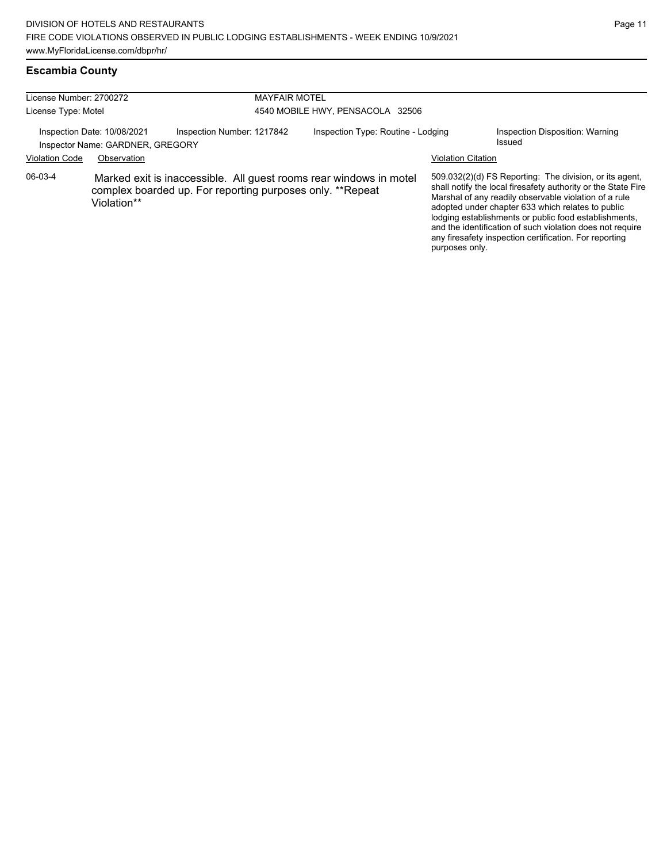| License Number: 2700272 |                                                                 | <b>MAYFAIR MOTEL</b>                                                                                                            |                                    |                           |                                                                                                                                                                                                                                                                                                                                                                                                                        |  |  |
|-------------------------|-----------------------------------------------------------------|---------------------------------------------------------------------------------------------------------------------------------|------------------------------------|---------------------------|------------------------------------------------------------------------------------------------------------------------------------------------------------------------------------------------------------------------------------------------------------------------------------------------------------------------------------------------------------------------------------------------------------------------|--|--|
| License Type: Motel     |                                                                 |                                                                                                                                 | 4540 MOBILE HWY, PENSACOLA 32506   |                           |                                                                                                                                                                                                                                                                                                                                                                                                                        |  |  |
|                         | Inspection Date: 10/08/2021<br>Inspector Name: GARDNER, GREGORY | Inspection Number: 1217842                                                                                                      | Inspection Type: Routine - Lodging |                           | Inspection Disposition: Warning<br>Issued                                                                                                                                                                                                                                                                                                                                                                              |  |  |
| <b>Violation Code</b>   | Observation                                                     |                                                                                                                                 |                                    | <b>Violation Citation</b> |                                                                                                                                                                                                                                                                                                                                                                                                                        |  |  |
| 06-03-4                 | Violation**                                                     | Marked exit is inaccessible. All guest rooms rear windows in motel<br>complex boarded up. For reporting purposes only. **Repeat |                                    | purposes only.            | 509.032(2)(d) FS Reporting: The division, or its agent,<br>shall notify the local firesafety authority or the State Fire<br>Marshal of any readily observable violation of a rule<br>adopted under chapter 633 which relates to public<br>lodging establishments or public food establishments,<br>and the identification of such violation does not require<br>any firesafety inspection certification. For reporting |  |  |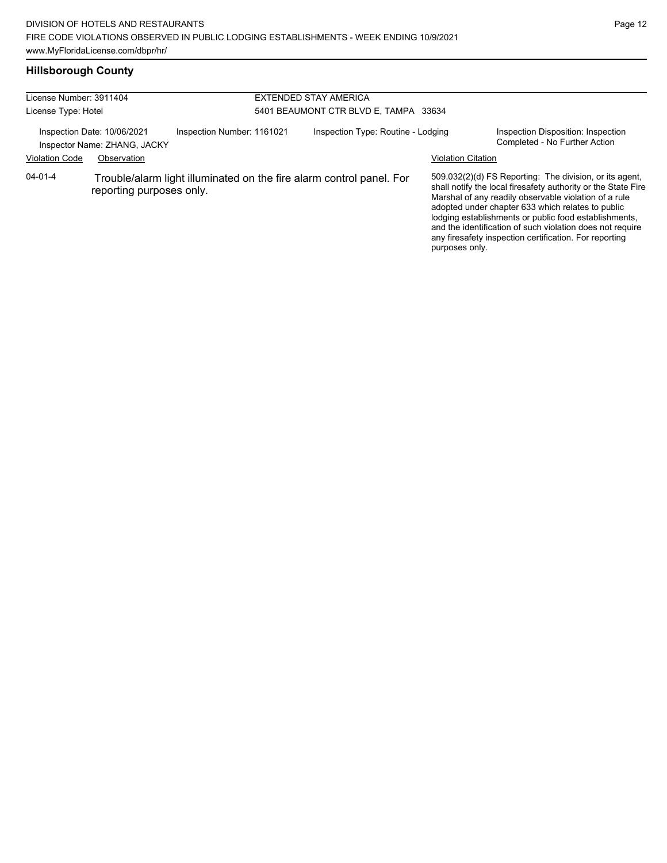| License Number: 3911404 |                                                             |                            | <b>EXTENDED STAY AMERICA</b>                                         |                           |                                                                                                                                                                                                                                                                                                                                                                                                                        |
|-------------------------|-------------------------------------------------------------|----------------------------|----------------------------------------------------------------------|---------------------------|------------------------------------------------------------------------------------------------------------------------------------------------------------------------------------------------------------------------------------------------------------------------------------------------------------------------------------------------------------------------------------------------------------------------|
| License Type: Hotel     |                                                             |                            | 5401 BEAUMONT CTR BLVD E, TAMPA 33634                                |                           |                                                                                                                                                                                                                                                                                                                                                                                                                        |
|                         | Inspection Date: 10/06/2021<br>Inspector Name: ZHANG, JACKY | Inspection Number: 1161021 | Inspection Type: Routine - Lodging                                   |                           | Inspection Disposition: Inspection<br>Completed - No Further Action                                                                                                                                                                                                                                                                                                                                                    |
| <b>Violation Code</b>   | Observation                                                 |                            |                                                                      | <b>Violation Citation</b> |                                                                                                                                                                                                                                                                                                                                                                                                                        |
| $04 - 01 - 4$           | reporting purposes only.                                    |                            | Trouble/alarm light illuminated on the fire alarm control panel. For | purposes only.            | 509.032(2)(d) FS Reporting: The division, or its agent,<br>shall notify the local firesafety authority or the State Fire<br>Marshal of any readily observable violation of a rule<br>adopted under chapter 633 which relates to public<br>lodging establishments or public food establishments,<br>and the identification of such violation does not require<br>any firesafety inspection certification. For reporting |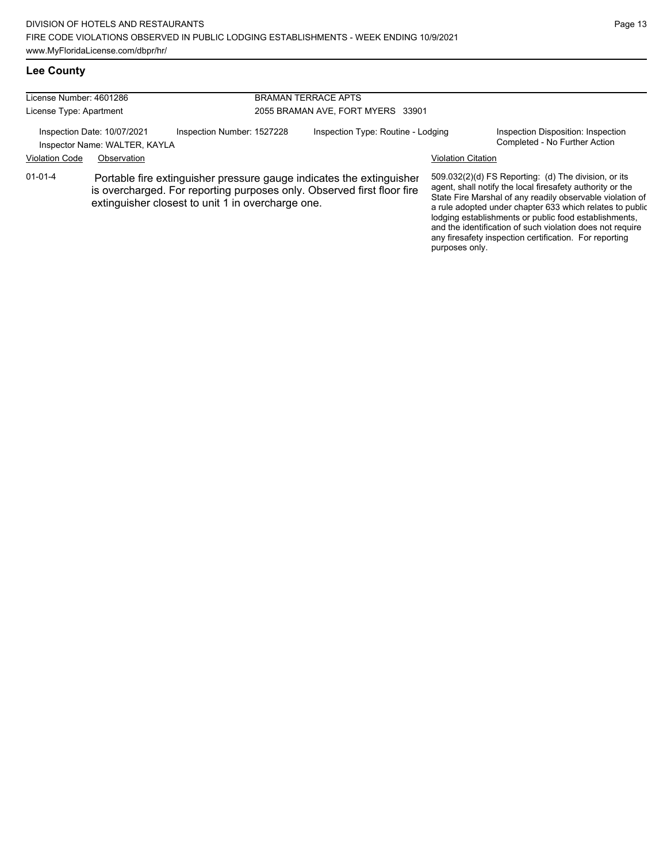and the identification of such violation does not require any firesafety inspection certification. For reporting

purposes only.

#### **Lee County**

| License Number: 4601286 |                                                              |                                                   | <b>BRAMAN TERRACE APTS</b> |                                                                                                                                                |                           |                                                                                                                                                                                                                                                                                                     |
|-------------------------|--------------------------------------------------------------|---------------------------------------------------|----------------------------|------------------------------------------------------------------------------------------------------------------------------------------------|---------------------------|-----------------------------------------------------------------------------------------------------------------------------------------------------------------------------------------------------------------------------------------------------------------------------------------------------|
| License Type: Apartment |                                                              | 2055 BRAMAN AVE, FORT MYERS 33901                 |                            |                                                                                                                                                |                           |                                                                                                                                                                                                                                                                                                     |
|                         | Inspection Date: 10/07/2021<br>Inspector Name: WALTER, KAYLA | Inspection Number: 1527228                        |                            | Inspection Type: Routine - Lodging                                                                                                             |                           | Inspection Disposition: Inspection<br>Completed - No Further Action                                                                                                                                                                                                                                 |
| <b>Violation Code</b>   | Observation                                                  |                                                   |                            |                                                                                                                                                | <b>Violation Citation</b> |                                                                                                                                                                                                                                                                                                     |
| $01 - 01 - 4$           |                                                              | extinguisher closest to unit 1 in overcharge one. |                            | Portable fire extinguisher pressure gauge indicates the extinguisher<br>is overcharged. For reporting purposes only. Observed first floor fire |                           | 509.032(2)(d) FS Reporting: (d) The division, or its<br>agent, shall notify the local firesafety authority or the<br>State Fire Marshal of any readily observable violation of<br>a rule adopted under chapter 633 which relates to public<br>lodging establishments or public food establishments, |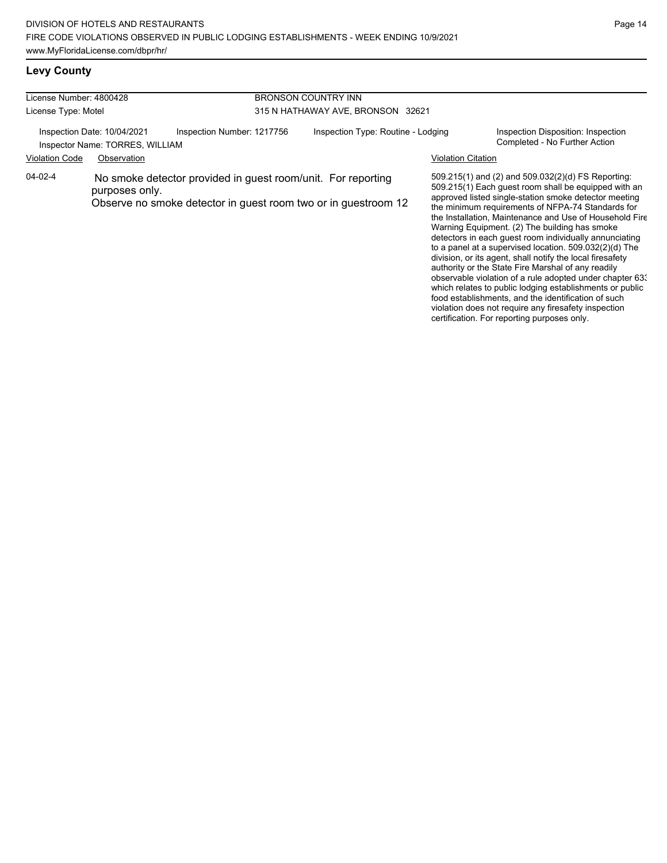### **Levy County**

| License Number: 4800428 |                                                                |                                                                                                                                | <b>BRONSON COUNTRY INN</b>        |                                    |  |                           |                                                                                                                                                                                                                                                                                     |
|-------------------------|----------------------------------------------------------------|--------------------------------------------------------------------------------------------------------------------------------|-----------------------------------|------------------------------------|--|---------------------------|-------------------------------------------------------------------------------------------------------------------------------------------------------------------------------------------------------------------------------------------------------------------------------------|
| License Type: Motel     |                                                                |                                                                                                                                | 315 N HATHAWAY AVE, BRONSON 32621 |                                    |  |                           |                                                                                                                                                                                                                                                                                     |
|                         | Inspection Date: 10/04/2021<br>Inspector Name: TORRES, WILLIAM | Inspection Number: 1217756                                                                                                     |                                   | Inspection Type: Routine - Lodging |  |                           | Inspection Disposition: Inspection<br>Completed - No Further Action                                                                                                                                                                                                                 |
| <b>Violation Code</b>   | Observation                                                    |                                                                                                                                |                                   |                                    |  | <b>Violation Citation</b> |                                                                                                                                                                                                                                                                                     |
| 04-02-4                 | purposes only.                                                 | No smoke detector provided in guest room/unit. For reporting<br>Observe no smoke detector in guest room two or in guestroom 12 |                                   |                                    |  |                           | 509.215(1) and (2) and 509.032(2)(d) FS Reporting:<br>509.215(1) Each quest room shall be equipped with an<br>approved listed single-station smoke detector meeting<br>the minimum requirements of NFPA-74 Standards for<br>the Installation, Maintenance and Use of Household Fire |

Warning Equipment. (2) The building has smoke detectors in each guest room individually annunciating to a panel at a supervised location. 509.032(2)(d) The division, or its agent, shall notify the local firesafety authority or the State Fire Marshal of any readily observable violation of a rule adopted under chapter 633 which relates to public lodging establishments or public food establishments, and the identification of such violation does not require any firesafety inspection certification. For reporting purposes only.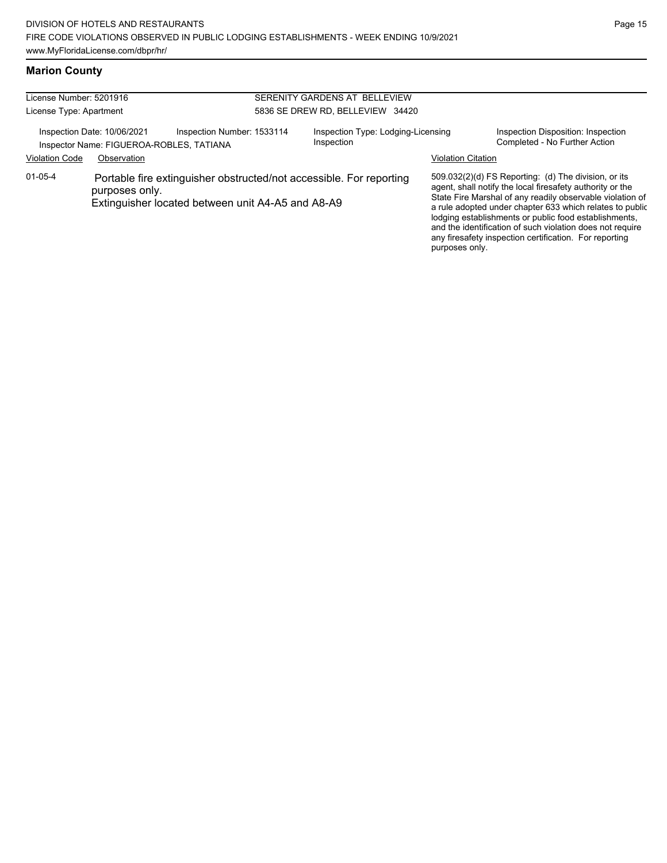#### **Marion County**

| License Number: 5201916<br>License Type: Apartment |                                                                         |                                                   | SERENITY GARDENS AT BELLEVIEW<br>5836 SE DREW RD, BELLEVIEW 34420 |                                                                     |                           |                                                                                                                                                                                                                                                                                                                                                                                                                            |
|----------------------------------------------------|-------------------------------------------------------------------------|---------------------------------------------------|-------------------------------------------------------------------|---------------------------------------------------------------------|---------------------------|----------------------------------------------------------------------------------------------------------------------------------------------------------------------------------------------------------------------------------------------------------------------------------------------------------------------------------------------------------------------------------------------------------------------------|
|                                                    | Inspection Date: 10/06/2021<br>Inspector Name: FIGUEROA-ROBLES, TATIANA | Inspection Number: 1533114                        |                                                                   | Inspection Type: Lodging-Licensing<br>Inspection                    |                           | Inspection Disposition: Inspection<br>Completed - No Further Action                                                                                                                                                                                                                                                                                                                                                        |
| <b>Violation Code</b>                              | Observation                                                             |                                                   |                                                                   |                                                                     | <b>Violation Citation</b> |                                                                                                                                                                                                                                                                                                                                                                                                                            |
| $01 - 05 - 4$                                      | purposes only.                                                          | Extinguisher located between unit A4-A5 and A8-A9 |                                                                   | Portable fire extinguisher obstructed/not accessible. For reporting |                           | 509.032(2)(d) FS Reporting: (d) The division, or its<br>agent, shall notify the local firesafety authority or the<br>State Fire Marshal of any readily observable violation of<br>a rule adopted under chapter 633 which relates to public<br>lodging establishments or public food establishments,<br>and the identification of such violation does not require<br>any firesafety inspection certification. For reporting |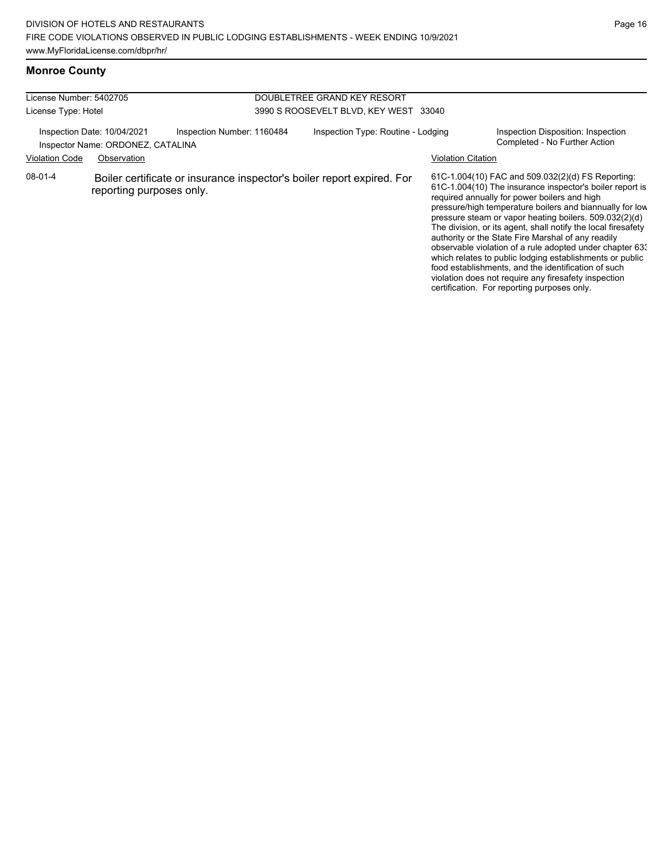#### **Monroe County**

| License Number: 5402705<br>License Type: Hotel |                                                                                 |                                                                        | DOUBLETREE GRAND KEY RESORT<br>3990 S ROOSEVELT BLVD, KEY WEST 33040 |                    |                                                                                                                                                                                                                                                                                                                                                                                                                                                                                                                                                                                                                                                                                                  |
|------------------------------------------------|---------------------------------------------------------------------------------|------------------------------------------------------------------------|----------------------------------------------------------------------|--------------------|--------------------------------------------------------------------------------------------------------------------------------------------------------------------------------------------------------------------------------------------------------------------------------------------------------------------------------------------------------------------------------------------------------------------------------------------------------------------------------------------------------------------------------------------------------------------------------------------------------------------------------------------------------------------------------------------------|
| <b>Violation Code</b>                          | Inspection Date: 10/04/2021<br>Inspector Name: ORDONEZ, CATALINA<br>Observation | Inspection Number: 1160484                                             | Inspection Type: Routine - Lodging                                   | Violation Citation | Inspection Disposition: Inspection<br>Completed - No Further Action                                                                                                                                                                                                                                                                                                                                                                                                                                                                                                                                                                                                                              |
| $08-01-4$                                      | reporting purposes only.                                                        | Boiler certificate or insurance inspector's boiler report expired. For |                                                                      |                    | 61C-1.004(10) FAC and 509.032(2)(d) FS Reporting:<br>61C-1.004(10) The insurance inspector's boiler report is<br>required annually for power boilers and high<br>pressure/high temperature boilers and biannually for low<br>pressure steam or vapor heating boilers. 509.032(2)(d)<br>The division, or its agent, shall notify the local firesafety<br>authority or the State Fire Marshal of any readily<br>observable violation of a rule adopted under chapter 633<br>which relates to public lodging establishments or public<br>food establishments, and the identification of such<br>violation does not require any firesafety inspection<br>certification. For reporting purposes only. |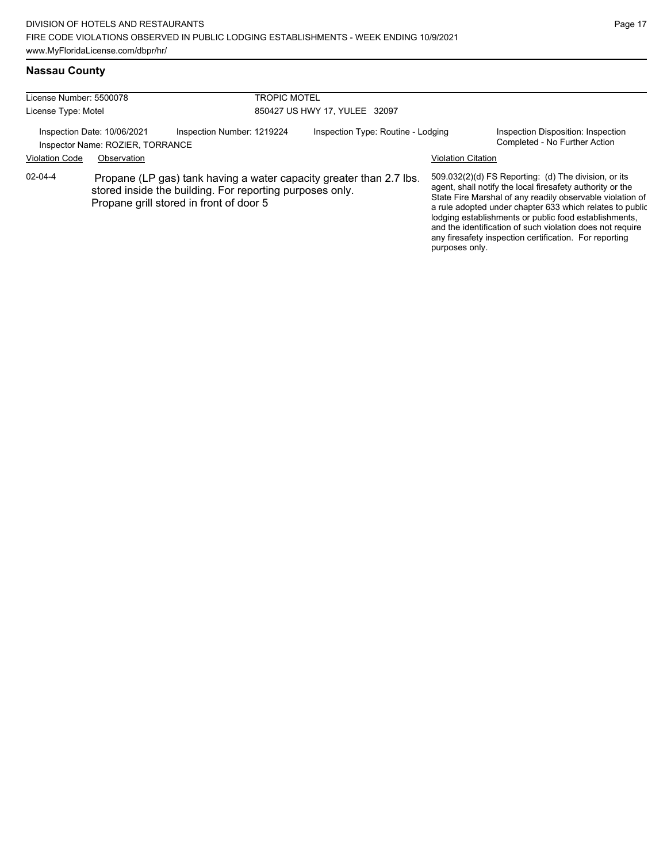#### **Nassau County**

| License Number: 5500078<br>License Type: Motel |                                                                 |                                                                                                                                                                            | <b>TROPIC MOTEL</b><br>850427 US HWY 17, YULEE 32097 |                           |                                                                                                                                                                                                                                                                                                                                                                                                                            |  |  |
|------------------------------------------------|-----------------------------------------------------------------|----------------------------------------------------------------------------------------------------------------------------------------------------------------------------|------------------------------------------------------|---------------------------|----------------------------------------------------------------------------------------------------------------------------------------------------------------------------------------------------------------------------------------------------------------------------------------------------------------------------------------------------------------------------------------------------------------------------|--|--|
|                                                | Inspection Date: 10/06/2021<br>Inspector Name: ROZIER, TORRANCE | Inspection Number: 1219224                                                                                                                                                 | Inspection Type: Routine - Lodging                   |                           | Inspection Disposition: Inspection<br>Completed - No Further Action                                                                                                                                                                                                                                                                                                                                                        |  |  |
| <b>Violation Code</b>                          | Observation                                                     |                                                                                                                                                                            |                                                      | <b>Violation Citation</b> |                                                                                                                                                                                                                                                                                                                                                                                                                            |  |  |
| 02-04-4                                        |                                                                 | Propane (LP gas) tank having a water capacity greater than 2.7 lbs.<br>stored inside the building. For reporting purposes only.<br>Propane grill stored in front of door 5 |                                                      | purposes only.            | 509.032(2)(d) FS Reporting: (d) The division, or its<br>agent, shall notify the local firesafety authority or the<br>State Fire Marshal of any readily observable violation of<br>a rule adopted under chapter 633 which relates to public<br>lodging establishments or public food establishments,<br>and the identification of such violation does not require<br>any firesafety inspection certification. For reporting |  |  |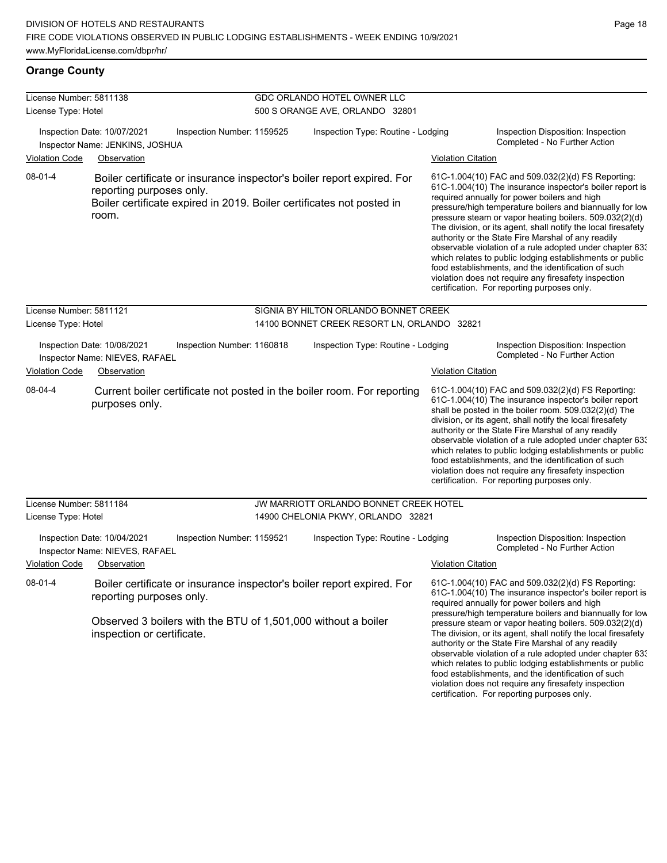#### **Orange County**

| License Number: 5811138 |                                                                                                                                                                                                   | GDC ORLANDO HOTEL OWNER LLC                 |                           |                                                                                                                                                                                                                                                                                                                                                                                                                                                                                                                                                                                                                                                                                                  |
|-------------------------|---------------------------------------------------------------------------------------------------------------------------------------------------------------------------------------------------|---------------------------------------------|---------------------------|--------------------------------------------------------------------------------------------------------------------------------------------------------------------------------------------------------------------------------------------------------------------------------------------------------------------------------------------------------------------------------------------------------------------------------------------------------------------------------------------------------------------------------------------------------------------------------------------------------------------------------------------------------------------------------------------------|
| License Type: Hotel     |                                                                                                                                                                                                   | 500 S ORANGE AVE, ORLANDO 32801             |                           |                                                                                                                                                                                                                                                                                                                                                                                                                                                                                                                                                                                                                                                                                                  |
|                         | Inspection Date: 10/07/2021<br>Inspection Number: 1159525<br>Inspector Name: JENKINS, JOSHUA                                                                                                      | Inspection Type: Routine - Lodging          |                           | Inspection Disposition: Inspection<br>Completed - No Further Action                                                                                                                                                                                                                                                                                                                                                                                                                                                                                                                                                                                                                              |
| <b>Violation Code</b>   | Observation                                                                                                                                                                                       |                                             | <b>Violation Citation</b> |                                                                                                                                                                                                                                                                                                                                                                                                                                                                                                                                                                                                                                                                                                  |
| 08-01-4                 | Boiler certificate or insurance inspector's boiler report expired. For<br>reporting purposes only.<br>Boiler certificate expired in 2019. Boiler certificates not posted in<br>room.              |                                             |                           | 61C-1.004(10) FAC and 509.032(2)(d) FS Reporting:<br>61C-1.004(10) The insurance inspector's boiler report is<br>required annually for power boilers and high<br>pressure/high temperature boilers and biannually for low<br>pressure steam or vapor heating boilers. 509.032(2)(d)<br>The division, or its agent, shall notify the local firesafety<br>authority or the State Fire Marshal of any readily<br>observable violation of a rule adopted under chapter 63.<br>which relates to public lodging establishments or public<br>food establishments, and the identification of such<br>violation does not require any firesafety inspection<br>certification. For reporting purposes only. |
| License Number: 5811121 |                                                                                                                                                                                                   | SIGNIA BY HILTON ORLANDO BONNET CREEK       |                           |                                                                                                                                                                                                                                                                                                                                                                                                                                                                                                                                                                                                                                                                                                  |
| License Type: Hotel     |                                                                                                                                                                                                   | 14100 BONNET CREEK RESORT LN, ORLANDO 32821 |                           |                                                                                                                                                                                                                                                                                                                                                                                                                                                                                                                                                                                                                                                                                                  |
|                         | Inspection Date: 10/08/2021<br>Inspection Number: 1160818<br>Inspector Name: NIEVES, RAFAEL                                                                                                       | Inspection Type: Routine - Lodging          |                           | Inspection Disposition: Inspection<br>Completed - No Further Action                                                                                                                                                                                                                                                                                                                                                                                                                                                                                                                                                                                                                              |
| <b>Violation Code</b>   | Observation                                                                                                                                                                                       |                                             | <b>Violation Citation</b> |                                                                                                                                                                                                                                                                                                                                                                                                                                                                                                                                                                                                                                                                                                  |
| 08-04-4                 | Current boiler certificate not posted in the boiler room. For reporting<br>purposes only.                                                                                                         |                                             |                           | 61C-1.004(10) FAC and 509.032(2)(d) FS Reporting:<br>61C-1.004(10) The insurance inspector's boiler report<br>shall be posted in the boiler room. 509.032(2)(d) The<br>division, or its agent, shall notify the local firesafety<br>authority or the State Fire Marshal of any readily<br>observable violation of a rule adopted under chapter 63.<br>which relates to public lodging establishments or public<br>food establishments, and the identification of such<br>violation does not require any firesafety inspection<br>certification. For reporting purposes only.                                                                                                                     |
| License Number: 5811184 |                                                                                                                                                                                                   | JW MARRIOTT ORLANDO BONNET CREEK HOTEL      |                           |                                                                                                                                                                                                                                                                                                                                                                                                                                                                                                                                                                                                                                                                                                  |
| License Type: Hotel     |                                                                                                                                                                                                   | 14900 CHELONIA PKWY, ORLANDO 32821          |                           |                                                                                                                                                                                                                                                                                                                                                                                                                                                                                                                                                                                                                                                                                                  |
|                         | Inspection Date: 10/04/2021<br>Inspection Number: 1159521<br>Inspector Name: NIEVES, RAFAEL                                                                                                       | Inspection Type: Routine - Lodging          |                           | Inspection Disposition: Inspection<br>Completed - No Further Action                                                                                                                                                                                                                                                                                                                                                                                                                                                                                                                                                                                                                              |
| <b>Violation Code</b>   | Observation                                                                                                                                                                                       |                                             | <b>Violation Citation</b> |                                                                                                                                                                                                                                                                                                                                                                                                                                                                                                                                                                                                                                                                                                  |
| 08-01-4                 | Boiler certificate or insurance inspector's boiler report expired. For<br>reporting purposes only.<br>Observed 3 boilers with the BTU of 1,501,000 without a boiler<br>inspection or certificate. |                                             |                           | 61C-1.004(10) FAC and 509.032(2)(d) FS Reporting:<br>61C-1.004(10) The insurance inspector's boiler report is<br>required annually for power boilers and high<br>pressure/high temperature boilers and biannually for low<br>pressure steam or vapor heating boilers. 509.032(2)(d)<br>The division, or its agent, shall notify the local firesafety<br>authority or the State Fire Marshal of any readily<br>observable violation of a rule adopted under chapter 63.<br>which relates to public lodging establishments or public<br>food establishments, and the identification of such<br>violation does not require any firesafety inspection                                                |

certification. For reporting purposes only.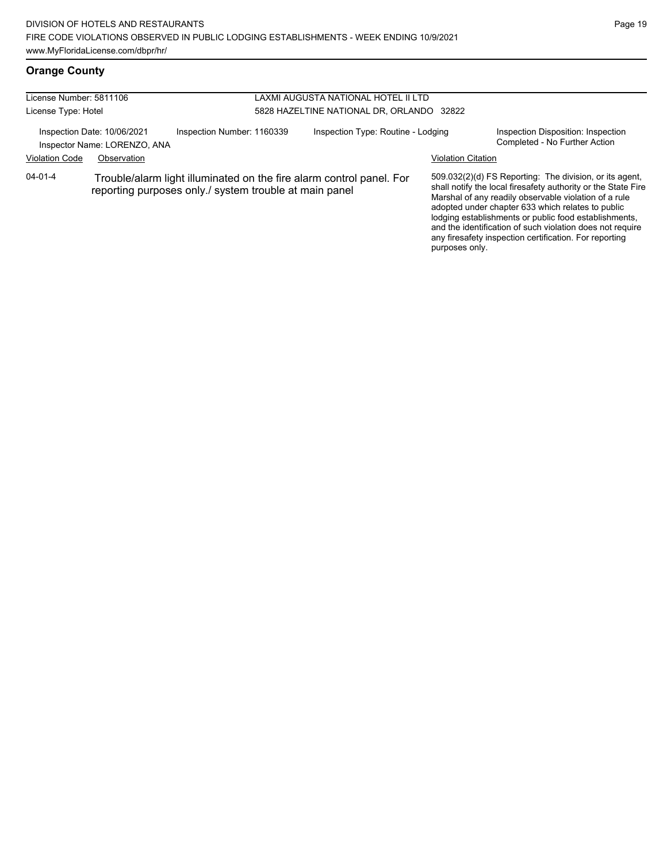# **Orange County**

| License Number: 5811106 |                                                             |                                                                                                                                | LAXMI AUGUSTA NATIONAL HOTEL II LTD       |                           |                                                                                                                                                                                                                                                                                                                                                                                                                        |  |  |
|-------------------------|-------------------------------------------------------------|--------------------------------------------------------------------------------------------------------------------------------|-------------------------------------------|---------------------------|------------------------------------------------------------------------------------------------------------------------------------------------------------------------------------------------------------------------------------------------------------------------------------------------------------------------------------------------------------------------------------------------------------------------|--|--|
| License Type: Hotel     |                                                             |                                                                                                                                | 5828 HAZELTINE NATIONAL DR, ORLANDO 32822 |                           |                                                                                                                                                                                                                                                                                                                                                                                                                        |  |  |
|                         | Inspection Date: 10/06/2021<br>Inspector Name: LORENZO, ANA | Inspection Number: 1160339                                                                                                     | Inspection Type: Routine - Lodging        |                           | Inspection Disposition: Inspection<br>Completed - No Further Action                                                                                                                                                                                                                                                                                                                                                    |  |  |
| <b>Violation Code</b>   | Observation                                                 |                                                                                                                                |                                           | <b>Violation Citation</b> |                                                                                                                                                                                                                                                                                                                                                                                                                        |  |  |
| 04-01-4                 |                                                             | Trouble/alarm light illuminated on the fire alarm control panel. For<br>reporting purposes only./ system trouble at main panel |                                           |                           | 509.032(2)(d) FS Reporting: The division, or its agent,<br>shall notify the local firesafety authority or the State Fire<br>Marshal of any readily observable violation of a rule<br>adopted under chapter 633 which relates to public<br>lodging establishments or public food establishments,<br>and the identification of such violation does not require<br>any firesafety inspection certification. For reporting |  |  |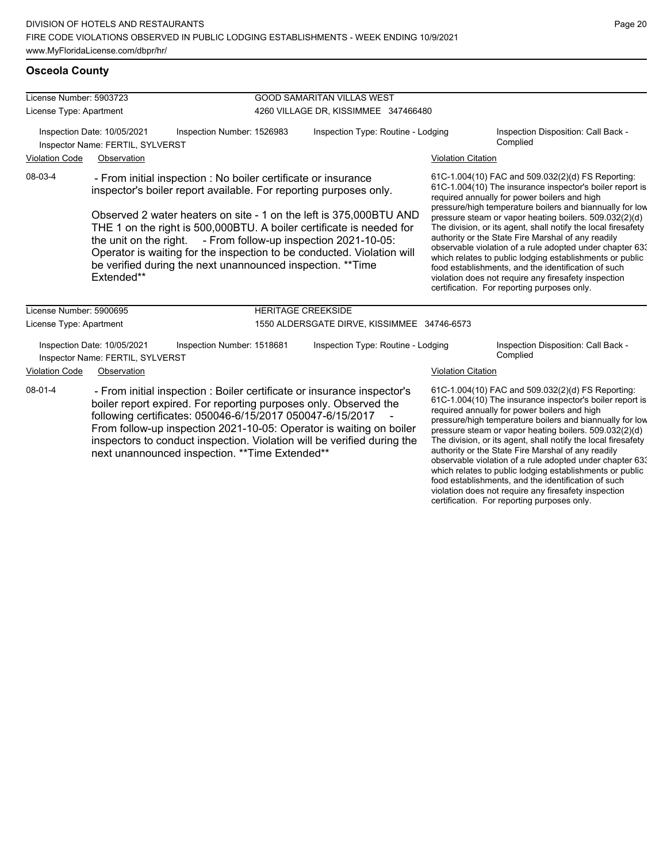violation does not require any firesafety inspection certification. For reporting purposes only.

### **Osceola County**

| License Number: 5903723                                                                       |                                                                                |                                                                                                                                                                                                                                                                                                                                                                                                                                                                                               | <b>GOOD SAMARITAN VILLAS WEST</b>           |  |                                                                                                                                                                                                                                                                                                                                                                                                                                                                                                                                                                                                                                                                                                  |  |  |
|-----------------------------------------------------------------------------------------------|--------------------------------------------------------------------------------|-----------------------------------------------------------------------------------------------------------------------------------------------------------------------------------------------------------------------------------------------------------------------------------------------------------------------------------------------------------------------------------------------------------------------------------------------------------------------------------------------|---------------------------------------------|--|--------------------------------------------------------------------------------------------------------------------------------------------------------------------------------------------------------------------------------------------------------------------------------------------------------------------------------------------------------------------------------------------------------------------------------------------------------------------------------------------------------------------------------------------------------------------------------------------------------------------------------------------------------------------------------------------------|--|--|
| License Type: Apartment                                                                       |                                                                                |                                                                                                                                                                                                                                                                                                                                                                                                                                                                                               | 4260 VILLAGE DR, KISSIMMEE 347466480        |  |                                                                                                                                                                                                                                                                                                                                                                                                                                                                                                                                                                                                                                                                                                  |  |  |
| Inspection Date: 10/05/2021<br>Inspection Number: 1526983<br>Inspector Name: FERTIL, SYLVERST |                                                                                |                                                                                                                                                                                                                                                                                                                                                                                                                                                                                               | Inspection Type: Routine - Lodging          |  | Inspection Disposition: Call Back -<br>Complied                                                                                                                                                                                                                                                                                                                                                                                                                                                                                                                                                                                                                                                  |  |  |
| <b>Violation Code</b><br>Observation                                                          |                                                                                |                                                                                                                                                                                                                                                                                                                                                                                                                                                                                               |                                             |  | <b>Violation Citation</b>                                                                                                                                                                                                                                                                                                                                                                                                                                                                                                                                                                                                                                                                        |  |  |
| 08-03-4                                                                                       | Extended**                                                                     | - From initial inspection : No boiler certificate or insurance<br>inspector's boiler report available. For reporting purposes only.<br>Observed 2 water heaters on site - 1 on the left is 375,000 BTU AND<br>THE 1 on the right is 500,000BTU. A boiler certificate is needed for<br>the unit on the right. - From follow-up inspection 2021-10-05:<br>Operator is waiting for the inspection to be conducted. Violation will<br>be verified during the next unannounced inspection. ** Time |                                             |  | 61C-1.004(10) FAC and 509.032(2)(d) FS Reporting:<br>61C-1.004(10) The insurance inspector's boiler report is<br>required annually for power boilers and high<br>pressure/high temperature boilers and biannually for low<br>pressure steam or vapor heating boilers. 509.032(2)(d)<br>The division, or its agent, shall notify the local firesafety<br>authority or the State Fire Marshal of any readily<br>observable violation of a rule adopted under chapter 63:<br>which relates to public lodging establishments or public<br>food establishments, and the identification of such<br>violation does not require any firesafety inspection<br>certification. For reporting purposes only. |  |  |
| License Number: 5900695                                                                       |                                                                                |                                                                                                                                                                                                                                                                                                                                                                                                                                                                                               | <b>HERITAGE CREEKSIDE</b>                   |  |                                                                                                                                                                                                                                                                                                                                                                                                                                                                                                                                                                                                                                                                                                  |  |  |
| License Type: Apartment                                                                       |                                                                                |                                                                                                                                                                                                                                                                                                                                                                                                                                                                                               | 1550 ALDERSGATE DIRVE, KISSIMMEE 34746-6573 |  |                                                                                                                                                                                                                                                                                                                                                                                                                                                                                                                                                                                                                                                                                                  |  |  |
| <b>Violation Code</b>                                                                         | Inspection Date: 10/05/2021<br>Inspector Name: FERTIL, SYLVERST<br>Observation | Inspection Number: 1518681                                                                                                                                                                                                                                                                                                                                                                                                                                                                    | Inspection Type: Routine - Lodging          |  | Inspection Disposition: Call Back -<br>Complied<br><b>Violation Citation</b>                                                                                                                                                                                                                                                                                                                                                                                                                                                                                                                                                                                                                     |  |  |
| $08-01-4$                                                                                     |                                                                                | - From initial inspection : Boiler certificate or insurance inspector's<br>boiler report expired. For reporting purposes only. Observed the<br>following certificates: 050046-6/15/2017 050047-6/15/2017<br>From follow-up inspection 2021-10-05: Operator is waiting on boiler<br>inspectors to conduct inspection. Violation will be verified during the<br>next unannounced inspection. ** Time Extended**                                                                                 |                                             |  | 61C-1.004(10) FAC and 509.032(2)(d) FS Reporting:<br>61C-1.004(10) The insurance inspector's boiler report is<br>required annually for power boilers and high<br>pressure/high temperature boilers and biannually for low<br>pressure steam or vapor heating boilers. 509.032(2)(d)<br>The division, or its agent, shall notify the local firesafety<br>authority or the State Fire Marshal of any readily<br>observable violation of a rule adopted under chapter 63.<br>which relates to public lodging establishments or public<br>food establishments, and the identification of such                                                                                                        |  |  |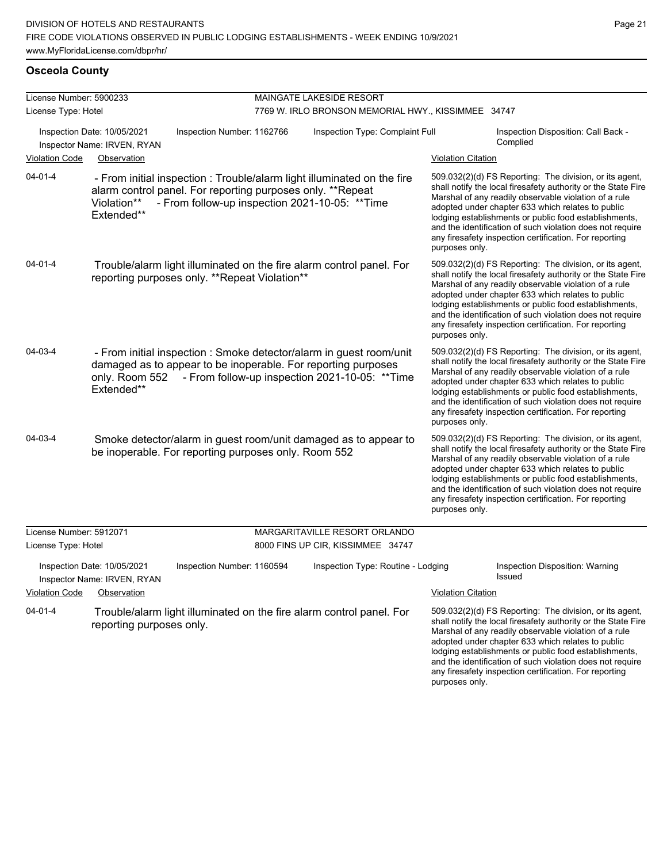and the identification of such violation does not require any firesafety inspection certification. For reporting

purposes only.

#### **Osceola County**

| License Number: 5900233 |                                                                           |                                                                                                                                                                                          | MAINGATE LAKESIDE RESORT                            |                           |                                                                                                                                                                                                                                                                                                                                                                                                                        |
|-------------------------|---------------------------------------------------------------------------|------------------------------------------------------------------------------------------------------------------------------------------------------------------------------------------|-----------------------------------------------------|---------------------------|------------------------------------------------------------------------------------------------------------------------------------------------------------------------------------------------------------------------------------------------------------------------------------------------------------------------------------------------------------------------------------------------------------------------|
| License Type: Hotel     |                                                                           |                                                                                                                                                                                          | 7769 W. IRLO BRONSON MEMORIAL HWY., KISSIMMEE 34747 |                           |                                                                                                                                                                                                                                                                                                                                                                                                                        |
|                         | Inspection Date: 10/05/2021<br>Inspector Name: IRVEN, RYAN                | Inspection Number: 1162766                                                                                                                                                               | Inspection Type: Complaint Full                     |                           | Inspection Disposition: Call Back -<br>Complied                                                                                                                                                                                                                                                                                                                                                                        |
| <b>Violation Code</b>   | Observation                                                               |                                                                                                                                                                                          |                                                     | <b>Violation Citation</b> |                                                                                                                                                                                                                                                                                                                                                                                                                        |
| 04-01-4                 | Violation**<br>Extended**                                                 | - From initial inspection : Trouble/alarm light illuminated on the fire<br>alarm control panel. For reporting purposes only. **Repeat<br>- From follow-up inspection 2021-10-05: ** Time |                                                     | purposes only.            | 509.032(2)(d) FS Reporting: The division, or its agent,<br>shall notify the local firesafety authority or the State Fire<br>Marshal of any readily observable violation of a rule<br>adopted under chapter 633 which relates to public<br>lodging establishments or public food establishments,<br>and the identification of such violation does not require<br>any firesafety inspection certification. For reporting |
| 04-01-4                 |                                                                           | Trouble/alarm light illuminated on the fire alarm control panel. For<br>reporting purposes only. **Repeat Violation**                                                                    |                                                     | purposes only.            | 509.032(2)(d) FS Reporting: The division, or its agent,<br>shall notify the local firesafety authority or the State Fire<br>Marshal of any readily observable violation of a rule<br>adopted under chapter 633 which relates to public<br>lodging establishments or public food establishments,<br>and the identification of such violation does not require<br>any firesafety inspection certification. For reporting |
| 04-03-4                 | only. Room 552<br>Extended**                                              | - From initial inspection : Smoke detector/alarm in guest room/unit<br>damaged as to appear to be inoperable. For reporting purposes<br>- From follow-up inspection 2021-10-05: ** Time  |                                                     | purposes only.            | 509.032(2)(d) FS Reporting: The division, or its agent,<br>shall notify the local firesafety authority or the State Fire<br>Marshal of any readily observable violation of a rule<br>adopted under chapter 633 which relates to public<br>lodging establishments or public food establishments,<br>and the identification of such violation does not require<br>any firesafety inspection certification. For reporting |
| 04-03-4                 |                                                                           | Smoke detector/alarm in guest room/unit damaged as to appear to<br>be inoperable. For reporting purposes only. Room 552                                                                  |                                                     | purposes only.            | 509.032(2)(d) FS Reporting: The division, or its agent,<br>shall notify the local firesafety authority or the State Fire<br>Marshal of any readily observable violation of a rule<br>adopted under chapter 633 which relates to public<br>lodging establishments or public food establishments,<br>and the identification of such violation does not require<br>any firesafety inspection certification. For reporting |
| License Number: 5912071 |                                                                           |                                                                                                                                                                                          | MARGARITAVILLE RESORT ORLANDO                       |                           |                                                                                                                                                                                                                                                                                                                                                                                                                        |
| License Type: Hotel     |                                                                           |                                                                                                                                                                                          | 8000 FINS UP CIR, KISSIMMEE 34747                   |                           |                                                                                                                                                                                                                                                                                                                                                                                                                        |
| <b>Violation Code</b>   | Inspection Date: 10/05/2021<br>Inspector Name: IRVEN, RYAN<br>Observation | Inspection Number: 1160594                                                                                                                                                               | Inspection Type: Routine - Lodging                  | <b>Violation Citation</b> | Inspection Disposition: Warning<br>Issued                                                                                                                                                                                                                                                                                                                                                                              |
| $04 - 01 - 4$           | reporting purposes only.                                                  | Trouble/alarm light illuminated on the fire alarm control panel. For                                                                                                                     |                                                     |                           | 509.032(2)(d) FS Reporting: The division, or its agent,<br>shall notify the local firesafety authority or the State Fire<br>Marshal of any readily observable violation of a rule<br>adopted under chapter 633 which relates to public<br>lodging establishments or public food establishments,                                                                                                                        |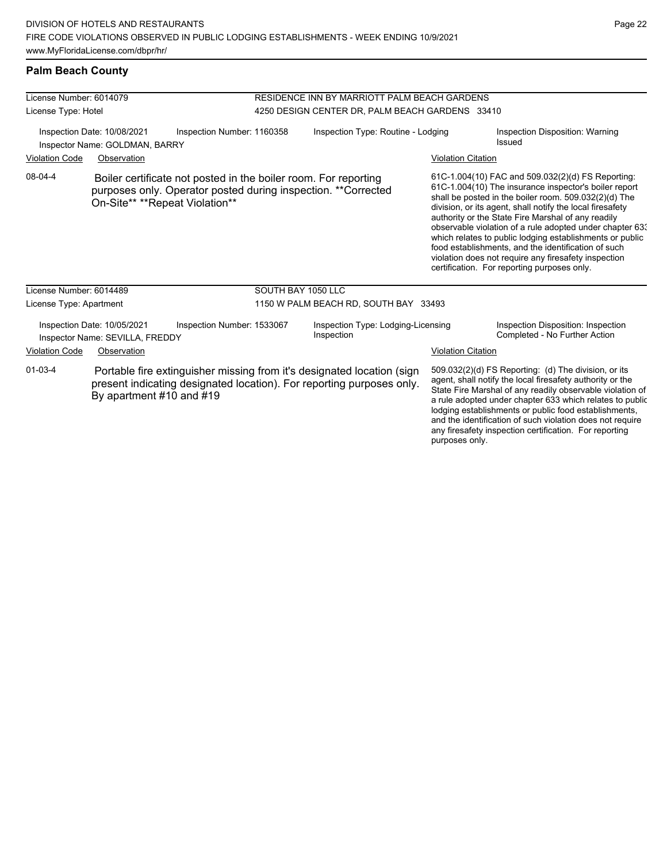#### **Palm Beach County**

| License Number: 6014079 |                                                                |                                                                                                                                  | RESIDENCE INN BY MARRIOTT PALM BEACH GARDENS |                                                                                                                                                 |                           |                                                                                                                                                                                                                                                                                                                                                                                                                                                                                                                                                                              |  |
|-------------------------|----------------------------------------------------------------|----------------------------------------------------------------------------------------------------------------------------------|----------------------------------------------|-------------------------------------------------------------------------------------------------------------------------------------------------|---------------------------|------------------------------------------------------------------------------------------------------------------------------------------------------------------------------------------------------------------------------------------------------------------------------------------------------------------------------------------------------------------------------------------------------------------------------------------------------------------------------------------------------------------------------------------------------------------------------|--|
| License Type: Hotel     |                                                                |                                                                                                                                  |                                              | 4250 DESIGN CENTER DR, PALM BEACH GARDENS 33410                                                                                                 |                           |                                                                                                                                                                                                                                                                                                                                                                                                                                                                                                                                                                              |  |
|                         | Inspection Date: 10/08/2021<br>Inspector Name: GOLDMAN, BARRY  | Inspection Number: 1160358                                                                                                       |                                              | Inspection Type: Routine - Lodging                                                                                                              |                           | Inspection Disposition: Warning<br>Issued                                                                                                                                                                                                                                                                                                                                                                                                                                                                                                                                    |  |
| <b>Violation Code</b>   | Observation                                                    |                                                                                                                                  |                                              |                                                                                                                                                 | <b>Violation Citation</b> |                                                                                                                                                                                                                                                                                                                                                                                                                                                                                                                                                                              |  |
| 08-04-4                 | On-Site** **Repeat Violation**                                 | Boiler certificate not posted in the boiler room. For reporting<br>purposes only. Operator posted during inspection. **Corrected |                                              |                                                                                                                                                 |                           | 61C-1.004(10) FAC and 509.032(2)(d) FS Reporting:<br>61C-1.004(10) The insurance inspector's boiler report<br>shall be posted in the boiler room. 509.032(2)(d) The<br>division, or its agent, shall notify the local firesafety<br>authority or the State Fire Marshal of any readily<br>observable violation of a rule adopted under chapter 63.<br>which relates to public lodging establishments or public<br>food establishments, and the identification of such<br>violation does not require any firesafety inspection<br>certification. For reporting purposes only. |  |
| License Number: 6014489 |                                                                |                                                                                                                                  | SOUTH BAY 1050 LLC                           |                                                                                                                                                 |                           |                                                                                                                                                                                                                                                                                                                                                                                                                                                                                                                                                                              |  |
| License Type: Apartment |                                                                |                                                                                                                                  |                                              | 1150 W PALM BEACH RD, SOUTH BAY 33493                                                                                                           |                           |                                                                                                                                                                                                                                                                                                                                                                                                                                                                                                                                                                              |  |
|                         | Inspection Date: 10/05/2021<br>Inspector Name: SEVILLA, FREDDY | Inspection Number: 1533067                                                                                                       |                                              | Inspection Type: Lodging-Licensing<br>Inspection                                                                                                |                           | Inspection Disposition: Inspection<br>Completed - No Further Action                                                                                                                                                                                                                                                                                                                                                                                                                                                                                                          |  |
| <b>Violation Code</b>   | Observation                                                    |                                                                                                                                  |                                              |                                                                                                                                                 | <b>Violation Citation</b> |                                                                                                                                                                                                                                                                                                                                                                                                                                                                                                                                                                              |  |
| $01-03-4$               | By apartment #10 and #19                                       |                                                                                                                                  |                                              | Portable fire extinguisher missing from it's designated location (sign<br>present indicating designated location). For reporting purposes only. |                           | 509.032(2)(d) FS Reporting: (d) The division, or its<br>agent, shall notify the local firesafety authority or the<br>State Fire Marshal of any readily observable violation of<br>a rule adopted under chapter 633 which relates to public<br>lodging establishments or public food establishments,<br>and the identification of such violation does not require<br>any firesafety inspection certification. For reporting                                                                                                                                                   |  |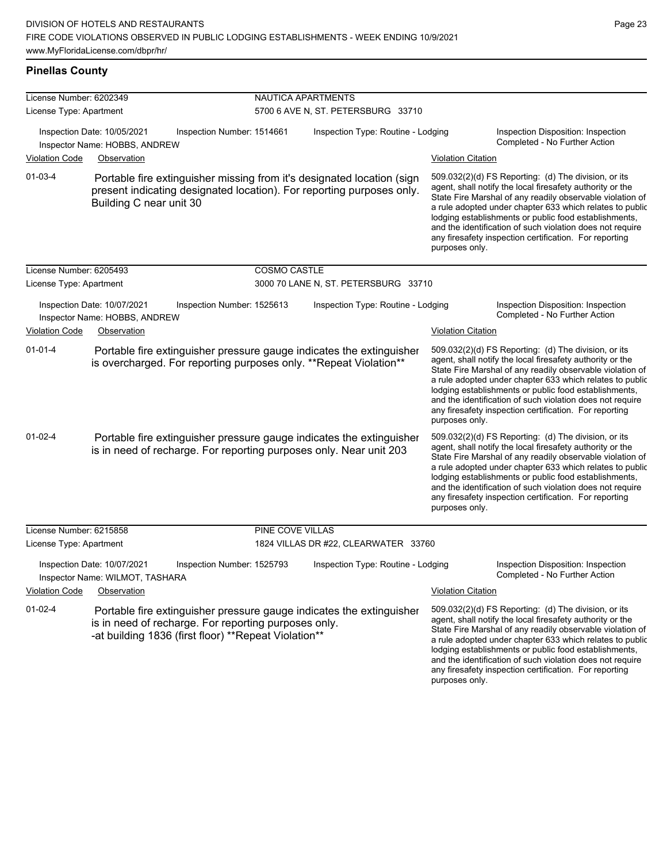any firesafety inspection certification. For reporting

purposes only.

### **Pinellas County**

| License Number: 6202349 |                                                                                                                                                                                      | NAUTICA APARTMENTS  |                                      |                           |                                                                                                                                                                                                                                                                                                                                                                                                                            |
|-------------------------|--------------------------------------------------------------------------------------------------------------------------------------------------------------------------------------|---------------------|--------------------------------------|---------------------------|----------------------------------------------------------------------------------------------------------------------------------------------------------------------------------------------------------------------------------------------------------------------------------------------------------------------------------------------------------------------------------------------------------------------------|
| License Type: Apartment |                                                                                                                                                                                      |                     | 5700 6 AVE N, ST. PETERSBURG 33710   |                           |                                                                                                                                                                                                                                                                                                                                                                                                                            |
|                         | Inspection Date: 10/05/2021<br>Inspection Number: 1514661<br>Inspector Name: HOBBS, ANDREW                                                                                           |                     | Inspection Type: Routine - Lodging   |                           | Inspection Disposition: Inspection<br>Completed - No Further Action                                                                                                                                                                                                                                                                                                                                                        |
| <b>Violation Code</b>   | Observation                                                                                                                                                                          |                     |                                      | <b>Violation Citation</b> |                                                                                                                                                                                                                                                                                                                                                                                                                            |
| $01 - 03 - 4$           | Portable fire extinguisher missing from it's designated location (sign<br>present indicating designated location). For reporting purposes only.<br>Building C near unit 30           |                     |                                      | purposes only.            | 509.032(2)(d) FS Reporting: (d) The division, or its<br>agent, shall notify the local firesafety authority or the<br>State Fire Marshal of any readily observable violation of<br>a rule adopted under chapter 633 which relates to public<br>lodging establishments or public food establishments,<br>and the identification of such violation does not require<br>any firesafety inspection certification. For reporting |
| License Number: 6205493 |                                                                                                                                                                                      | <b>COSMO CASTLE</b> |                                      |                           |                                                                                                                                                                                                                                                                                                                                                                                                                            |
| License Type: Apartment |                                                                                                                                                                                      |                     | 3000 70 LANE N, ST. PETERSBURG 33710 |                           |                                                                                                                                                                                                                                                                                                                                                                                                                            |
|                         | Inspection Date: 10/07/2021<br>Inspection Number: 1525613<br>Inspector Name: HOBBS, ANDREW                                                                                           |                     | Inspection Type: Routine - Lodging   |                           | Inspection Disposition: Inspection<br>Completed - No Further Action                                                                                                                                                                                                                                                                                                                                                        |
| <b>Violation Code</b>   | Observation                                                                                                                                                                          |                     |                                      | <b>Violation Citation</b> |                                                                                                                                                                                                                                                                                                                                                                                                                            |
| $01 - 01 - 4$           | Portable fire extinguisher pressure gauge indicates the extinguisher<br>is overcharged. For reporting purposes only. **Repeat Violation**                                            |                     |                                      | purposes only.            | 509.032(2)(d) FS Reporting: (d) The division, or its<br>agent, shall notify the local firesafety authority or the<br>State Fire Marshal of any readily observable violation of<br>a rule adopted under chapter 633 which relates to public<br>lodging establishments or public food establishments,<br>and the identification of such violation does not require<br>any firesafety inspection certification. For reporting |
| $01-02-4$               | Portable fire extinguisher pressure gauge indicates the extinguisher<br>is in need of recharge. For reporting purposes only. Near unit 203                                           |                     |                                      | purposes only.            | 509.032(2)(d) FS Reporting: (d) The division, or its<br>agent, shall notify the local firesafety authority or the<br>State Fire Marshal of any readily observable violation of<br>a rule adopted under chapter 633 which relates to public<br>lodging establishments or public food establishments,<br>and the identification of such violation does not require<br>any firesafety inspection certification. For reporting |
| License Number: 6215858 |                                                                                                                                                                                      | PINE COVE VILLAS    |                                      |                           |                                                                                                                                                                                                                                                                                                                                                                                                                            |
| License Type: Apartment |                                                                                                                                                                                      |                     | 1824 VILLAS DR #22, CLEARWATER 33760 |                           |                                                                                                                                                                                                                                                                                                                                                                                                                            |
|                         | Inspection Date: 10/07/2021<br>Inspection Number: 1525793<br>Inspector Name: WILMOT, TASHARA                                                                                         |                     | Inspection Type: Routine - Lodging   |                           | Inspection Disposition: Inspection<br>Completed - No Further Action                                                                                                                                                                                                                                                                                                                                                        |
| <b>Violation Code</b>   | Observation                                                                                                                                                                          |                     |                                      | <b>Violation Citation</b> |                                                                                                                                                                                                                                                                                                                                                                                                                            |
| $01-02-4$               | Portable fire extinguisher pressure gauge indicates the extinguisher<br>is in need of recharge. For reporting purposes only.<br>-at building 1836 (first floor) **Repeat Violation** |                     |                                      |                           | 509.032(2)(d) FS Reporting: (d) The division, or its<br>agent, shall notify the local firesafety authority or the<br>State Fire Marshal of any readily observable violation of<br>a rule adopted under chapter 633 which relates to public<br>lodging establishments or public food establishments,<br>and the identification of such violation does not require                                                           |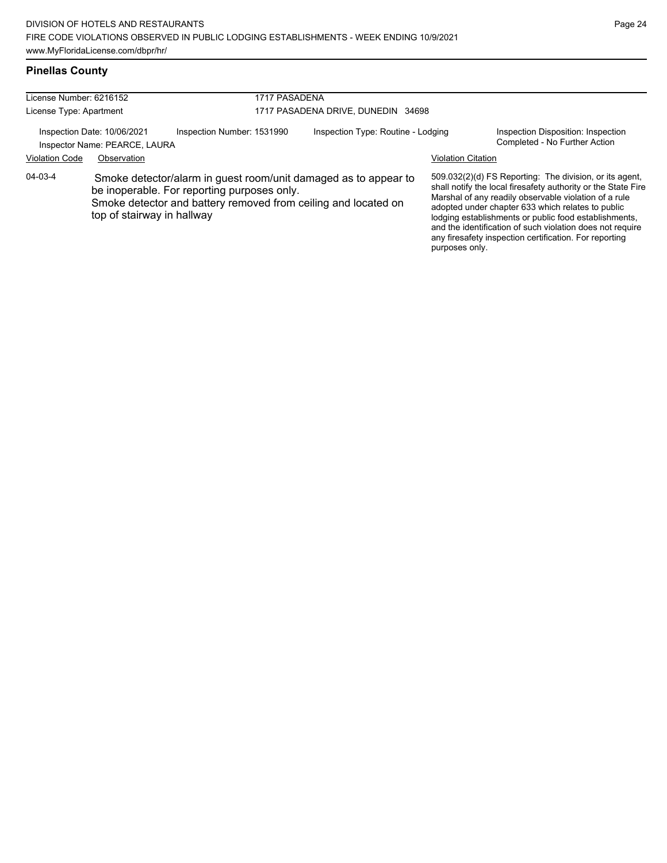# **Pinellas County**

| License Number: 6216152                                      |                            |                                                                                                                                                                                  | 1717 PASADENA                      |                           |                                                                                                                                                                                                                                                                                                                                                                                                                        |  |  |
|--------------------------------------------------------------|----------------------------|----------------------------------------------------------------------------------------------------------------------------------------------------------------------------------|------------------------------------|---------------------------|------------------------------------------------------------------------------------------------------------------------------------------------------------------------------------------------------------------------------------------------------------------------------------------------------------------------------------------------------------------------------------------------------------------------|--|--|
| License Type: Apartment                                      |                            |                                                                                                                                                                                  | 1717 PASADENA DRIVE, DUNEDIN 34698 |                           |                                                                                                                                                                                                                                                                                                                                                                                                                        |  |  |
| Inspection Date: 10/06/2021<br>Inspector Name: PEARCE, LAURA |                            | Inspection Number: 1531990                                                                                                                                                       | Inspection Type: Routine - Lodging |                           | Inspection Disposition: Inspection<br>Completed - No Further Action                                                                                                                                                                                                                                                                                                                                                    |  |  |
| <b>Violation Code</b>                                        | Observation                |                                                                                                                                                                                  |                                    | <b>Violation Citation</b> |                                                                                                                                                                                                                                                                                                                                                                                                                        |  |  |
| 04-03-4                                                      | top of stairway in hallway | Smoke detector/alarm in guest room/unit damaged as to appear to<br>be inoperable. For reporting purposes only.<br>Smoke detector and battery removed from ceiling and located on |                                    |                           | 509.032(2)(d) FS Reporting: The division, or its agent,<br>shall notify the local firesafety authority or the State Fire<br>Marshal of any readily observable violation of a rule<br>adopted under chapter 633 which relates to public<br>lodging establishments or public food establishments,<br>and the identification of such violation does not require<br>any firesafety inspection certification. For reporting |  |  |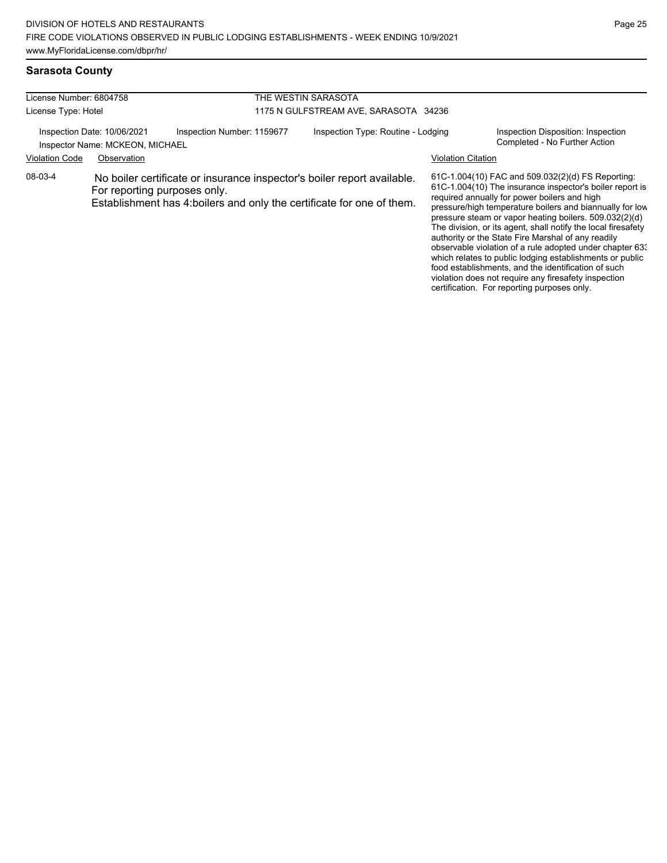#### **Sarasota County**

| License Number: 6804758<br>License Type: Hotel |                                                                                                                                                                                   |  | THE WESTIN SARASOTA<br>1175 N GULFSTREAM AVE, SARASOTA 34236 |  |  |                                                                                                                                                                                                                           |
|------------------------------------------------|-----------------------------------------------------------------------------------------------------------------------------------------------------------------------------------|--|--------------------------------------------------------------|--|--|---------------------------------------------------------------------------------------------------------------------------------------------------------------------------------------------------------------------------|
|                                                |                                                                                                                                                                                   |  |                                                              |  |  |                                                                                                                                                                                                                           |
| 08-03-4                                        | No boiler certificate or insurance inspector's boiler report available.<br>For reporting purposes only.<br>Establishment has 4: boilers and only the certificate for one of them. |  |                                                              |  |  | 61C-1.004(10) FAC and 509.032(2)(d) FS Reporting:<br>61C-1.004(10) The insurance inspector's boiler report is<br>required annually for power boilers and high<br>pressure/high temperature boilers and biannually for low |

pressure steam or vapor heating boilers. 509.032(2)(d) The division, or its agent, shall notify the local firesafety authority or the State Fire Marshal of any readily observable violation of a rule adopted under chapter 633 which relates to public lodging establishments or public food establishments, and the identification of such violation does not require any firesafety inspection certification. For reporting purposes only.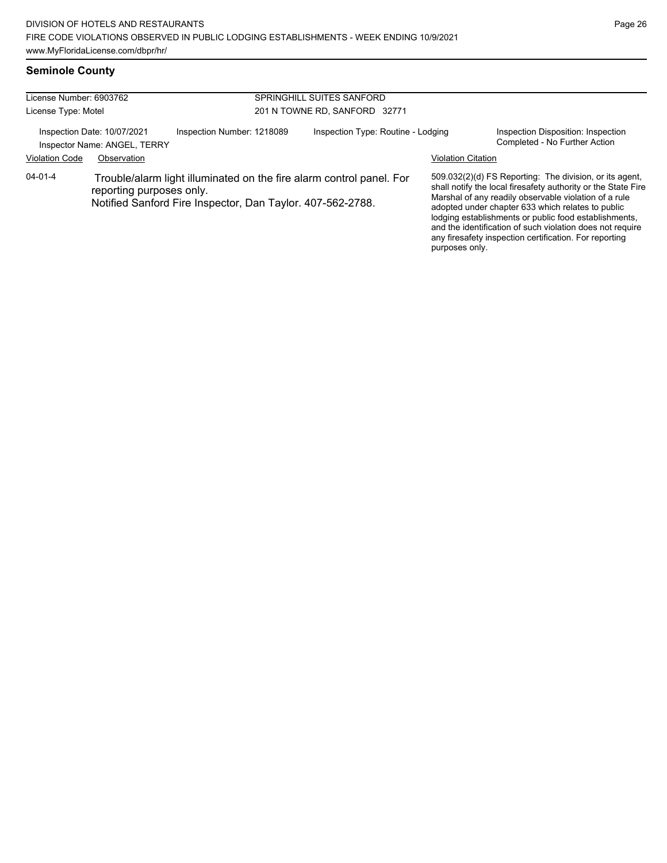and the identification of such violation does not require any firesafety inspection certification. For reporting

purposes only.

#### **Seminole County**

| License Number: 6903762<br>License Type: Motel                                            |                                                                                                                                                                |  | SPRINGHILL SUITES SANFORD<br>201 N TOWNE RD, SANFORD 32771 |  |                                                                     |                                                                                                                                                                                                                                                                                                 |
|-------------------------------------------------------------------------------------------|----------------------------------------------------------------------------------------------------------------------------------------------------------------|--|------------------------------------------------------------|--|---------------------------------------------------------------------|-------------------------------------------------------------------------------------------------------------------------------------------------------------------------------------------------------------------------------------------------------------------------------------------------|
| Inspection Number: 1218089<br>Inspection Date: 10/07/2021<br>Inspector Name: ANGEL, TERRY |                                                                                                                                                                |  | Inspection Type: Routine - Lodging                         |  | Inspection Disposition: Inspection<br>Completed - No Further Action |                                                                                                                                                                                                                                                                                                 |
| <b>Violation Code</b>                                                                     | Observation                                                                                                                                                    |  |                                                            |  | <b>Violation Citation</b>                                           |                                                                                                                                                                                                                                                                                                 |
| $04 - 01 - 4$                                                                             | Trouble/alarm light illuminated on the fire alarm control panel. For<br>reporting purposes only.<br>Notified Sanford Fire Inspector, Dan Taylor. 407-562-2788. |  |                                                            |  |                                                                     | 509.032(2)(d) FS Reporting: The division, or its agent,<br>shall notify the local firesafety authority or the State Fire<br>Marshal of any readily observable violation of a rule<br>adopted under chapter 633 which relates to public<br>lodging establishments or public food establishments, |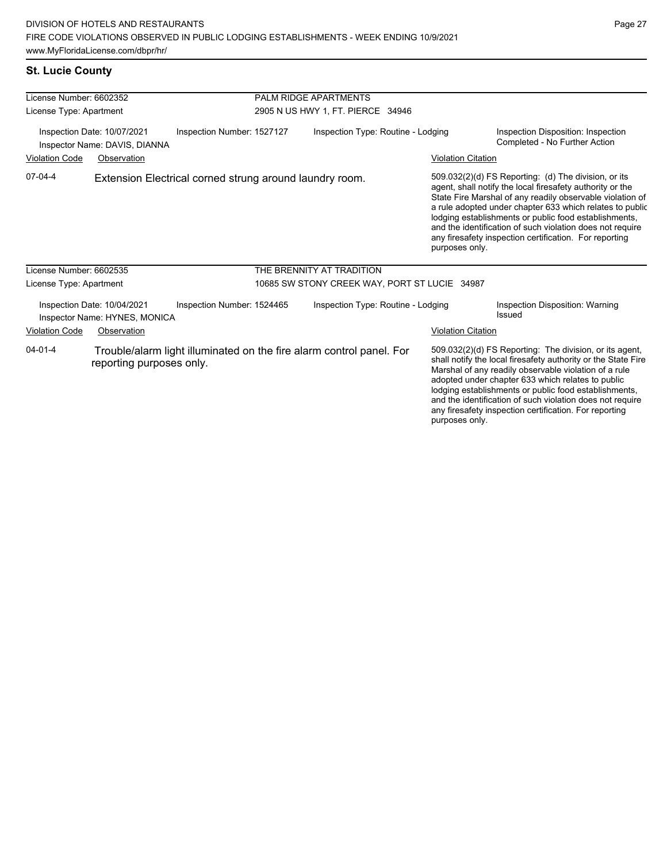# **St. Lucie County**

| License Number: 6602352                                                                    |                                                              |                                                                      | <b>PALM RIDGE APARTMENTS</b>      |                                                                                                                                                                                                                                                                                                                                                                                                                                          |                                                                     |                                                                                                                                                                                                                                                                                                                                                                                                                            |  |
|--------------------------------------------------------------------------------------------|--------------------------------------------------------------|----------------------------------------------------------------------|-----------------------------------|------------------------------------------------------------------------------------------------------------------------------------------------------------------------------------------------------------------------------------------------------------------------------------------------------------------------------------------------------------------------------------------------------------------------------------------|---------------------------------------------------------------------|----------------------------------------------------------------------------------------------------------------------------------------------------------------------------------------------------------------------------------------------------------------------------------------------------------------------------------------------------------------------------------------------------------------------------|--|
| License Type: Apartment                                                                    |                                                              |                                                                      | 2905 N US HWY 1, FT. PIERCE 34946 |                                                                                                                                                                                                                                                                                                                                                                                                                                          |                                                                     |                                                                                                                                                                                                                                                                                                                                                                                                                            |  |
| Inspection Date: 10/07/2021<br>Inspection Number: 1527127<br>Inspector Name: DAVIS, DIANNA |                                                              | Inspection Type: Routine - Lodging                                   |                                   |                                                                                                                                                                                                                                                                                                                                                                                                                                          | Inspection Disposition: Inspection<br>Completed - No Further Action |                                                                                                                                                                                                                                                                                                                                                                                                                            |  |
| <b>Violation Code</b>                                                                      | Observation                                                  |                                                                      |                                   |                                                                                                                                                                                                                                                                                                                                                                                                                                          | <b>Violation Citation</b>                                           |                                                                                                                                                                                                                                                                                                                                                                                                                            |  |
| 07-04-4                                                                                    |                                                              | Extension Electrical corned strung around laundry room.              |                                   |                                                                                                                                                                                                                                                                                                                                                                                                                                          | purposes only.                                                      | 509.032(2)(d) FS Reporting: (d) The division, or its<br>agent, shall notify the local firesafety authority or the<br>State Fire Marshal of any readily observable violation of<br>a rule adopted under chapter 633 which relates to public<br>lodging establishments or public food establishments,<br>and the identification of such violation does not require<br>any firesafety inspection certification. For reporting |  |
| License Number: 6602535                                                                    |                                                              |                                                                      |                                   | THE BRENNITY AT TRADITION                                                                                                                                                                                                                                                                                                                                                                                                                |                                                                     |                                                                                                                                                                                                                                                                                                                                                                                                                            |  |
| License Type: Apartment                                                                    |                                                              |                                                                      |                                   | 10685 SW STONY CREEK WAY, PORT ST LUCIE 34987                                                                                                                                                                                                                                                                                                                                                                                            |                                                                     |                                                                                                                                                                                                                                                                                                                                                                                                                            |  |
|                                                                                            | Inspection Date: 10/04/2021<br>Inspector Name: HYNES, MONICA | Inspection Number: 1524465                                           |                                   | Inspection Type: Routine - Lodging                                                                                                                                                                                                                                                                                                                                                                                                       |                                                                     | Inspection Disposition: Warning<br>Issued                                                                                                                                                                                                                                                                                                                                                                                  |  |
| <b>Violation Code</b>                                                                      | Observation                                                  |                                                                      |                                   |                                                                                                                                                                                                                                                                                                                                                                                                                                          | <b>Violation Citation</b>                                           |                                                                                                                                                                                                                                                                                                                                                                                                                            |  |
| $04 - 01 - 4$<br>reporting purposes only.                                                  |                                                              | Trouble/alarm light illuminated on the fire alarm control panel. For |                                   | 509.032(2)(d) FS Reporting: The division, or its agent,<br>shall notify the local firesafety authority or the State Fire<br>Marshal of any readily observable violation of a rule<br>adopted under chapter 633 which relates to public<br>lodging establishments or public food establishments,<br>and the identification of such violation does not require<br>any firesafety inspection certification. For reporting<br>purposes only. |                                                                     |                                                                                                                                                                                                                                                                                                                                                                                                                            |  |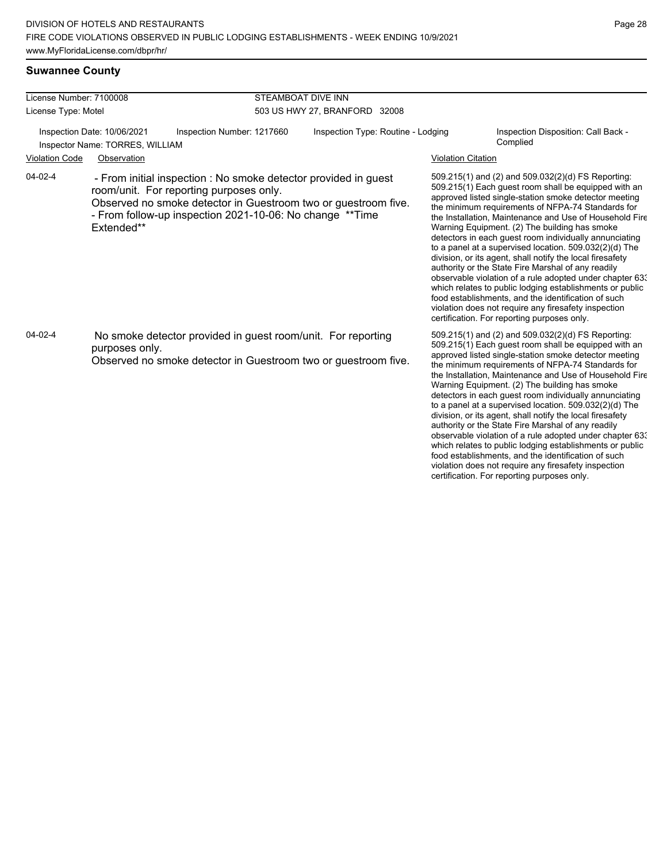| License Number: 7100008<br>License Type: Motel<br>Inspection Date: 10/06/2021<br>Inspector Name: TORRES, WILLIAM |                                                                                                                                                                                                                                                        |                                                                                                                                | STEAMBOAT DIVE INN<br>503 US HWY 27, BRANFORD 32008                                                                                                                                                                                                                                                                                                                                                                                                                                                                                                                                                                                                                                                                                                                                                                                                               |                           |                                                                                                                                                                                                                                                                                                                                      |  |  |
|------------------------------------------------------------------------------------------------------------------|--------------------------------------------------------------------------------------------------------------------------------------------------------------------------------------------------------------------------------------------------------|--------------------------------------------------------------------------------------------------------------------------------|-------------------------------------------------------------------------------------------------------------------------------------------------------------------------------------------------------------------------------------------------------------------------------------------------------------------------------------------------------------------------------------------------------------------------------------------------------------------------------------------------------------------------------------------------------------------------------------------------------------------------------------------------------------------------------------------------------------------------------------------------------------------------------------------------------------------------------------------------------------------|---------------------------|--------------------------------------------------------------------------------------------------------------------------------------------------------------------------------------------------------------------------------------------------------------------------------------------------------------------------------------|--|--|
|                                                                                                                  |                                                                                                                                                                                                                                                        |                                                                                                                                |                                                                                                                                                                                                                                                                                                                                                                                                                                                                                                                                                                                                                                                                                                                                                                                                                                                                   |                           |                                                                                                                                                                                                                                                                                                                                      |  |  |
|                                                                                                                  |                                                                                                                                                                                                                                                        | Inspection Number: 1217660                                                                                                     | Inspection Type: Routine - Lodging                                                                                                                                                                                                                                                                                                                                                                                                                                                                                                                                                                                                                                                                                                                                                                                                                                |                           | Inspection Disposition: Call Back -<br>Complied                                                                                                                                                                                                                                                                                      |  |  |
| <b>Violation Code</b>                                                                                            | Observation                                                                                                                                                                                                                                            |                                                                                                                                |                                                                                                                                                                                                                                                                                                                                                                                                                                                                                                                                                                                                                                                                                                                                                                                                                                                                   | <b>Violation Citation</b> |                                                                                                                                                                                                                                                                                                                                      |  |  |
| 04-02-4                                                                                                          | - From initial inspection : No smoke detector provided in guest<br>room/unit. For reporting purposes only.<br>Observed no smoke detector in Guestroom two or guestroom five.<br>- From follow-up inspection 2021-10-06: No change **Time<br>Extended** |                                                                                                                                | 509.215(1) and (2) and 509.032(2)(d) FS Reporting:<br>509.215(1) Each guest room shall be equipped with an<br>approved listed single-station smoke detector meeting<br>the minimum requirements of NFPA-74 Standards for<br>the Installation, Maintenance and Use of Household Fire<br>Warning Equipment. (2) The building has smoke<br>detectors in each guest room individually annunciating<br>to a panel at a supervised location. 509.032(2)(d) The<br>division, or its agent, shall notify the local firesafety<br>authority or the State Fire Marshal of any readily<br>observable violation of a rule adopted under chapter 63.<br>which relates to public lodging establishments or public<br>food establishments, and the identification of such<br>violation does not require any firesafety inspection<br>certification. For reporting purposes only. |                           |                                                                                                                                                                                                                                                                                                                                      |  |  |
| $04 - 02 - 4$                                                                                                    | purposes only.                                                                                                                                                                                                                                         | No smoke detector provided in guest room/unit. For reporting<br>Observed no smoke detector in Guestroom two or guestroom five. |                                                                                                                                                                                                                                                                                                                                                                                                                                                                                                                                                                                                                                                                                                                                                                                                                                                                   |                           | 509.215(1) and (2) and 509.032(2)(d) FS Reporting:<br>509.215(1) Each guest room shall be equipped with an<br>approved listed single-station smoke detector meeting<br>the minimum requirements of NFPA-74 Standards for<br>the Installation, Maintenance and Use of Household Fire<br>Warning Equipment. (2) The building has smoke |  |  |

Warning Equipment. (2) The building has smoke detectors in each guest room individually annunciating to a panel at a supervised location. 509.032(2)(d) The division, or its agent, shall notify the local firesafety authority or the State Fire Marshal of any readily observable violation of a rule adopted under chapter 633 which relates to public lodging establishments or public food establishments, and the identification of such violation does not require any firesafety inspection certification. For reporting purposes only.